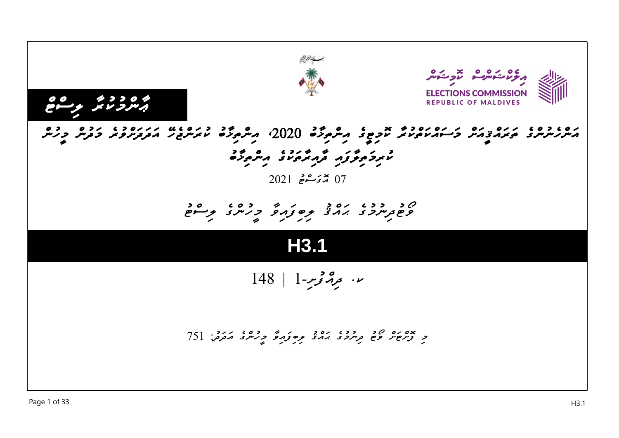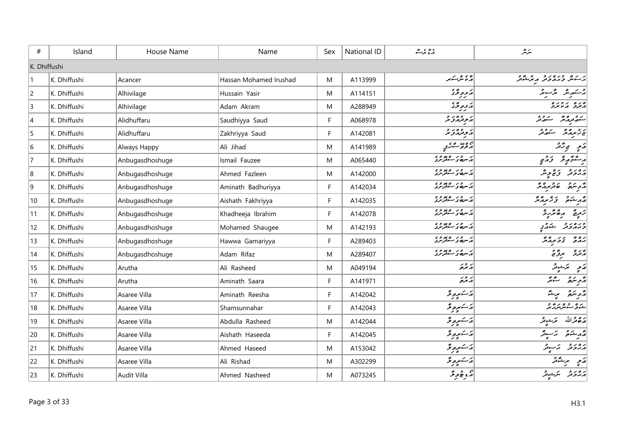| #              | Island       | House Name      | Name                   | Sex         | National ID | ېره پر شه                                | ىئرىتر                                              |
|----------------|--------------|-----------------|------------------------|-------------|-------------|------------------------------------------|-----------------------------------------------------|
| K. Dhiffushi   |              |                 |                        |             |             |                                          |                                                     |
| 1              | K. Dhiffushi | Acancer         | Hassan Mohamed Irushad | M           | A113999     | پری ه مه که بد                           | ر ر ما دره ر د او د و د<br>ر سکس و روونر از برنشونر |
| $\overline{2}$ | K. Dhiffushi | Alhivilage      | Hussain Yasir          | M           | A114151     | ر<br>د نوعوڅۍ                            | يز سكر مثل الكر سور محر                             |
| 3              | K. Dhiffushi | Alhivilage      | Adam Akram             | M           | A288949     | بر دیره در پر<br>مربر بر ژ               | پره روره<br>مترو منترو                              |
| $\vert 4$      | K. Dhiffushi | Alidhuffaru     | Saudhiyya Saud         | F           | A068978     | ړ پر <i>پر ور</i> پر                     | سەھەمەھە<br>ستەھرىمى                                |
| 5              | K. Dhiffushi | Alidhuffaru     | Zakhriyya Saud         | F           | A142081     | پر ووړ و                                 | ى ئىمرور ئەر ئە                                     |
| 6              | K. Dhiffushi | Always Happy    | Ali Jihad              | M           | A141989     | ە و» قرىر<br>مەخرىق سىرىم                | ړکو وگور                                            |
| $\vert$ 7      | K. Dhiffushi | Anbugasdhoshuge | Ismail Fauzee          | M           | A065440     | ر<br>پرسرچي سوترس                        | وستوفيو وديم                                        |
| 8              | K. Dhiffushi | Anbugasdhoshuge | Ahmed Fazleen          | M           | A142000     | ر سرچ ر ه پو د پ<br>پرسرچي سنگورس        | ره رو ده و په<br>مدحاتر کوچ محمد                    |
| 9              | K. Dhiffushi | Anbugasdhoshuge | Aminath Badhuriyya     | $\mathsf F$ | A142034     | ر سرچ ر ه پو د پ<br>پرسرچي سستوسري       | ת כיתם שנתגרת                                       |
| 10             | K. Dhiffushi | Anbugasdhoshuge | Aishath Fakhriyya      | F           | A142035     | ر سرچ ر صور و ۽<br>ترسي <i>ھ ي</i> سنگرس | مەر ئىق ئى ئىرمەش                                   |
| 11             | K. Dhiffushi | Anbugasdhoshuge | Khadheeja Ibrahim      | F           | A142078     | ر سرچ ر ه پو د پ<br>پرسرچي سستوسري       | كتبيعًا رە ئرىرد                                    |
| 12             | K. Dhiffushi | Anbugasdhoshuge | Mohamed Shaugee        | M           | A142193     | بر سرچر وړي.<br>پرسرچي سوترس             | ورەرو شەر                                           |
| $ 13\rangle$   | K. Dhiffushi | Anbugasdhoshuge | Hawwa Gamariyya        | F           | A289403     | ر سرچ ر ه پو د پ<br>پرسرچي سنگورس        | גם זי גם ה                                          |
| 14             | K. Dhiffushi | Anbugasdhoshuge | Adam Rifaz             | M           | A289407     | ر<br>پرسرچي ڪوتر پر د                    |                                                     |
| 15             | K. Dhiffushi | Arutha          | Ali Rasheed            | M           | A049194     | ەر جەر                                   | كەن كەندىق<br>مۇ                                    |
| 16             | K. Dhiffushi | Arutha          | Aminath Saara          | F           | A141971     | ەر جەر                                   | أأدمده<br>ئەنتىر                                    |
| 17             | K. Dhiffushi | Asaree Villa    | Aminath Reesha         | F           | A142042     | ە سەمبەء ق                               | أأدوسكم المتحمية                                    |
| 18             | K. Dhiffushi | Asaree Villa    | Shamsunnahar           | F           | A142043     | ە سەمرە ۋ                                | ر <i>و د و پر و د</i>                               |
| 19             | K. Dhiffushi | Asaree Villa    | Abdulla Rasheed        | M           | A142044     | ە سەمبەء ق                               | مَدْ هُ قَرْ اللّه تَمْ سَوْ قُرْ                   |
| 20             | K. Dhiffushi | Asaree Villa    | Aishath Haseeda        | F           | A142045     | ە سەمرە ۋ                                | ە ئەر شەھ كەسپەتگە                                  |
| 21             | K. Dhiffushi | Asaree Villa    | Ahmed Haseed           | M           | A153042     | پرسے پر عرقر                             | رەرو بەسىر                                          |
| 22             | K. Dhiffushi | Asaree Villa    | Ali Rishad             | M           | A302299     |                                          | ړکې امریکور                                         |
| 23             | K. Dhiffushi | Audit Villa     | Ahmed Nasheed          | M           | A073245     | ە بە ھ <sub>ى</sub> بۇ                   | رەرە سكىشىق                                         |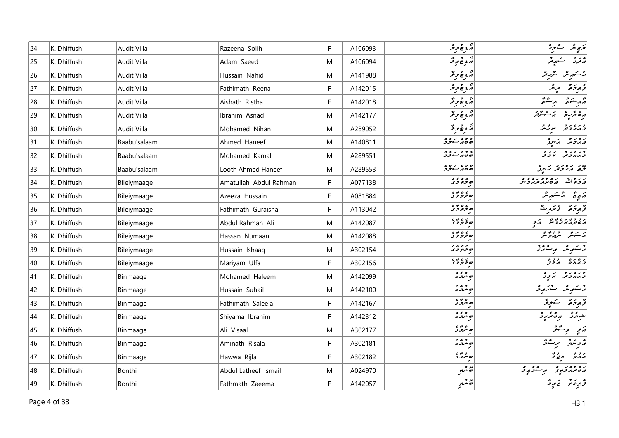| 24 | K. Dhiffushi | Audit Villa        | Razeena Solih          | F  | A106093 | لموجود                                          | بڈىرچ<br>ىمەسچە ئىگر                 |
|----|--------------|--------------------|------------------------|----|---------|-------------------------------------------------|--------------------------------------|
| 25 | K. Dhiffushi | Audit Villa        | Adam Saeed             | M  | A106094 | لموجوعه                                         | پەرە<br>مەنىرى<br>سکھریٹر            |
| 26 | K. Dhiffushi | <b>Audit Villa</b> | Hussain Nahid          | M  | A141988 | لموجور                                          | ىترىر تەر<br>برسەر بىر               |
| 27 | K. Dhiffushi | Audit Villa        | Fathimath Reena        | F  | A142015 | لموجود                                          | ىبەيتىر<br>و مر در<br>تر مر مر       |
| 28 | K. Dhiffushi | Audit Villa        | Aishath Ristha         | F  | A142018 | لموقوقه                                         | و<br>د کرمشوځو<br>برره پُر           |
| 29 | K. Dhiffushi | Audit Villa        | Ibrahim Asnad          | M  | A142177 | وموقوقه                                         | ە ھەترىر <sup>ى</sup><br>ىر ئەشرىر   |
| 30 | K. Dhiffushi | Audit Villa        | Mohamed Nihan          | M  | A289052 | م د عورمځه<br>م                                 | و ر ه ر و<br>و پر پر و تر<br>سرتزىتر |
| 31 | K. Dhiffushi | Baabu'salaam       | Ahmed Haneef           | M  | A140811 | پ <sup>ر و</sup> ه پر په ه                      | رەر بەر                              |
| 32 | K. Dhiffushi | Baabu'salaam       | Mohamed Kamal          | M  | A289551 | پ <sup>ر و</sup> ه بر په ه<br><i>ه ه</i> ر سنور | ورەرو ررە                            |
| 33 | K. Dhiffushi | Baabu'salaam       | Looth Ahmed Haneef     | M  | A289553 | ر ده در ده<br><i>ه ه</i> ر سوگر                 | دو ره رو رکسرو                       |
| 34 | K. Dhiffushi | Bileiymaage        | Amatullah Abdul Rahman | F. | A077138 | ړه د د ،<br>ح نومونو ت                          | ر دوالله مەم دە دە دە د              |
| 35 | K. Dhiffushi | Bileiymaage        | Azeeza Hussain         | F. | A081884 | ، ه ه ه ،<br>ح څه د د                           | مەي قىم قىسكىرىش                     |
| 36 | K. Dhiffushi | Bileiymaage        | Fathimath Guraisha     | F  | A113042 | ، ه ه ه ،<br>د عرو د د                          | و دو چرم گ                           |
| 37 | K. Dhiffushi | Bileiymaage        | Abdul Rahman Ali       | M  | A142087 | ، ه ه ه ،<br>د عرو د د                          | ره وه ره ده ه مر<br>مان ترم برگ مر   |
| 38 | K. Dhiffushi | Bileiymaage        | Hassan Numaan          | M  | A142088 | ړه د د ،<br>م <i>و</i> نون د                    | يُرَكَّسُ سَهْرَسُ                   |
| 39 | K. Dhiffushi | Bileiymaage        | Hussain Ishaaq         | M  | A302154 | چەھەر                                           | برسكريش ويستبقى                      |
| 40 | K. Dhiffushi | Bileiymaage        | Mariyam Ulfa           | F  | A302156 | ه ده و د ،<br>موخور د                           | נסנס בסבי<br><i>כאור</i> ב הבנ       |
| 41 | K. Dhiffushi | Binmaage           | Mohamed Haleem         | M  | A142099 | ه شر <del>د</del> و                             | ورەر دىرو                            |
| 42 | K. Dhiffushi | Binmaage           | Hussain Suhail         | M  | A142100 | ە ئەرىرى<br>ئ                                   | چە يەر ھەر يەر يۇ                    |
| 43 | K. Dhiffushi | Binmaage           | Fathimath Saleela      | F  | A142167 | ە ئىردى<br>ئ                                    | ۇرۇدۇ سەرۇ                           |
| 44 | K. Dhiffushi | Binmaage           | Shiyama Ibrahim        | F  | A142312 | ە ئەرىرى<br>ئ                                   | شورگر مح<br>مر<br>ەھ ئۈرۈ            |
| 45 | K. Dhiffushi | Binmaage           | Ali Visaal             | M  | A302177 | ە شەپرى<br>ھەسرچە ي                             | أة و وينقو                           |
| 46 | K. Dhiffushi | Binmaage           | Aminath Risala         | F  | A302181 | ە بەرە<br>ھەنگرى                                |                                      |
| 47 | K. Dhiffushi | Binmaage           | Hawwa Rijla            | F  | A302182 | ه ۶ <i>۶۶</i><br>م                              | $rac{20}{200}$<br>ىرقى تۇ            |
| 48 | K. Dhiffushi | Bonthi             | Abdul Latheef Ismail   | M  | A024970 | صرمو                                            | ره وه ر<br>مگافترونجو<br>بره څوړنځ   |
| 49 | K. Dhiffushi | Bonthi             | Fathmath Zaeema        | F  | A142057 | اقتصرمر                                         | وٌجِوَدَةٌ يَجْرِدُّ                 |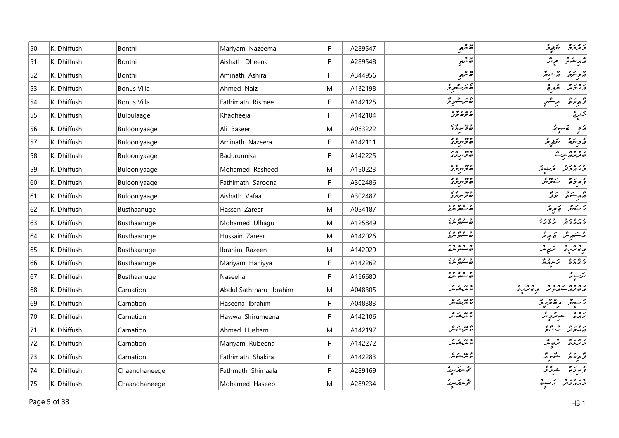| 50 | K. Dhiffushi | Bonthi             | Mariyam Nazeema         | F. | A289547 | قەشھ                                      | ر ه ر ه<br><del>و</del> بربرو<br>سَنعٍوتَر                 |
|----|--------------|--------------------|-------------------------|----|---------|-------------------------------------------|------------------------------------------------------------|
| 51 | K. Dhiffushi | Bonthi             | Aishath Dheena          | F. | A289548 | قەشىر                                     | پ <sup>و</sup> پر ڪر د                                     |
| 52 | K. Dhiffushi | Bonthi             | Aminath Ashira          | F. | A344956 | لقسمر                                     | ترشەتر<br>أأروسه                                           |
| 53 | K. Dhiffushi | <b>Bonus Villa</b> | Ahmed Naiz              | M  | A132198 | ە ئىر ش <sub>ەھ</sub> ئە                  | پره پر و<br>سَّرم                                          |
| 54 | K. Dhiffushi | <b>Bonus Villa</b> | Fathimath Rismee        | F  | A142125 | ە ئەرمىسى <i>مۇ</i> ئە                    | بىرىشىچە                                                   |
| 55 | K. Dhiffushi | Bulbulaage         | Khadheeja               | F  | A142104 | د ه د و و و<br>م <i>ه نو</i> نو د         | و دو<br>توجوده<br>زوده                                     |
| 56 | K. Dhiffushi | Bulooniyaage       | Ali Baseer              | M  | A063222 | و دو په په<br>ن <i>ه نو</i> سرد ک         | ەسبوبىر<br>ړنې<br>په پېړنې                                 |
| 57 | K. Dhiffushi | Bulooniyaage       | Aminath Nazeera         | F  | A142111 | כבד היה<br>סיבתות ב                       | أأدمني أأتنبط                                              |
| 58 | K. Dhiffushi | Bulooniyaage       | Badurunnisa             | F. | A142225 | دود سرچري<br>  جا تر سرچري                | ر و وه مرگ                                                 |
| 59 | K. Dhiffushi | Bulooniyaage       | Mohamed Rasheed         | M  | A150223 | و دو په په<br><i>ه نو</i> سرد ک           | وره رو گرشونر<br>د <i>بر برخ</i> ونر                       |
| 60 | K. Dhiffushi | Bulooniyaage       | Fathimath Saroona       | F  | A302486 | ە دەسرى                                   | ژوده سنرس                                                  |
| 61 | K. Dhiffushi | Bulooniyaage       | Aishath Vafaa           | F. | A302487 | د در پرې<br><i>ه</i> تر سرد ک             | أوار بنده وكر                                              |
| 62 | K. Dhiffushi | Busthaanuge        | Hassan Zareer           | M  | A054187 | ه ۵ په د پر<br>ت <i>ق سره مر</i> د        | ئەسكەنلەر ئىم ئەس <sub>ى</sub> رىگە                        |
| 63 | K. Dhiffushi | Busthaanuge        | Mohamed Ulhagu          | M  | A125849 | و ه پر و ،<br>حاسوم سرد                   | כנסנכ כסנכ<br><i>כג</i> מכ <mark>ט מ</mark> יכ <i>גי</i> צ |
| 64 | K. Dhiffushi | Busthaanuge        | Hussain Zareer          | M  | A142026 | ه ۵ په د پر<br>ت <i>ق سره مر</i> د        | رُ سَمرِ مَرَ نَجَ يَرِيرُ                                 |
| 65 | K. Dhiffushi | Busthaanuge        | Ibrahim Razeen          | M  | A142029 | و ه پو و ،<br>ت <i>ق</i> سیو منزل         | وهتر و ترتوش                                               |
| 66 | K. Dhiffushi | Busthaanuge        | Mariyam Haniyya         | F. | A142262 | و ه پر و ،<br>قاستوگر                     | ر ه ر ه<br><del>د</del> بربرو<br>ئەسەر بىر                 |
| 67 | K. Dhiffushi | Busthaanuge        | Naseeha                 | F  | A166680 | د ۱۵ و د<br>پېښموسر                       | ىئەسەرىجە<br>ئە                                            |
| 68 | K. Dhiffushi | Carnation          | Abdul Saththaru Ibrahim | Μ  | A048305 | رسمبر<br>بۇ ئىترىشىر                      | 10100101010101                                             |
| 69 | K. Dhiffushi | Carnation          | Haseena Ibrahim         | F  | A048383 | ەسىم ئەيدى<br>مەنتى <del>رىش</del> ومىتىر | برَ پیش میگریده                                            |
| 70 | K. Dhiffushi | Carnation          | Hawwa Shirumeena        | F. | A142106 | ە يى <sub>ش</sub> ىيە بىر                 |                                                            |
| 71 | K. Dhiffushi | Carnation          | Ahmed Husham            | M  | A142197 | پ <sup>ىرى</sup> شەھر                     | أرەر د دەۋ                                                 |
| 72 | K. Dhiffushi | Carnation          | Mariyam Rubeena         | F  | A142272 | پە ي <sub>ىش</sub> مەر ھ                  | ر ه بر ه<br><del>د</del> بربرگ<br>ىرتى ئىگە                |
| 73 | K. Dhiffushi | Carnation          | Fathimath Shakira       | F  | A142283 | ە يى <sub>ش</sub> ىيە بىر                 | ىشكە بىگە<br>ۇ بوخ تو                                      |
| 74 | K. Dhiffushi | Chaandhaneege      | Fathmath Shimaala       | F. | A289169 | كۇسىرىسىد                                 | و څو څه د<br>ے وی<br>ے                                     |
| 75 | K. Dhiffushi | Chaandhaneege      | Mohamed Haseeb          | M  | A289234 | ڭۈس <sub>ى</sub> ترسرىگە                  | وره رو برسره                                               |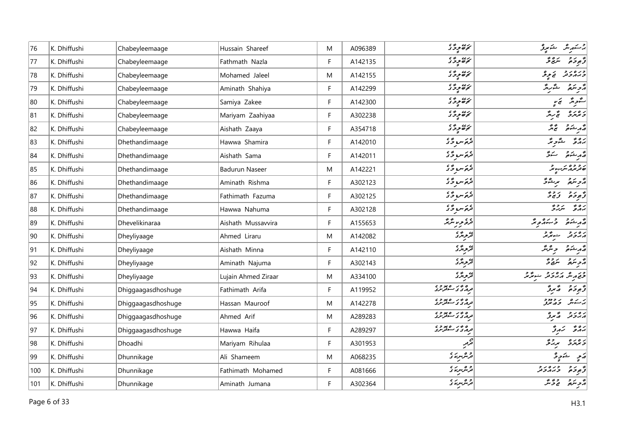| 76  | K. Dhiffushi | Chabeyleemaage     | Hussain Shareef       | M  | A096389 | رى<br>كۆھنچەترى                                                | رچ ستهر شر مشت <u>ر پورتو</u><br>مستقبل سنگور مستقبل میرانی |
|-----|--------------|--------------------|-----------------------|----|---------|----------------------------------------------------------------|-------------------------------------------------------------|
| 77  | K. Dhiffushi | Chabeyleemaage     | Fathmath Nazla        | F. | A142135 | ى تەمەرى<br>كىمى مۇرى                                          | تورد رەپى                                                   |
| 78  | K. Dhiffushi | Chabeyleemaage     | Mohamed Jaleel        | M  | A142155 | ری پر وی<br>کوه پرد د                                          | ورەر دىرو                                                   |
| 79  | K. Dhiffushi | Chabeyleemaage     | Aminath Shahiya       | F  | A142299 | رن ده و .<br>نمون تور د                                        | ىشىر بۇ<br>أروسكو                                           |
| 80  | K. Dhiffushi | Chabeyleemaage     | Samiya Zakee          | F  | A142300 | ری پر وی<br>کوه پرد د                                          | ستمريز<br>تجميح                                             |
| 81  | K. Dhiffushi | Chabeyleemaage     | Mariyam Zaahiyaa      | F  | A302238 | ري پر وي<br>کوه پر ژ                                           | ر ه ر ه<br>د بربر د<br>ىتى سەتتىر                           |
| 82  | K. Dhiffushi | Chabeyleemaage     | Aishath Zaaya         | F  | A354718 | ری پر وی<br>کوه پرد د                                          | پر مج<br>سمج وگر<br>و گرمشگر محمد<br>مرگ                    |
| 83  | K. Dhiffushi | Dhethandimaage     | Hawwa Shamira         | F  | A142010 | ې ئەرگەرىدى<br>قىرقۇسىغ قرى                                    | رە پە<br>پەرى<br>ستَدَّو بَرُّ                              |
| 84  | K. Dhiffushi | Dhethandimaage     | Aishath Sama          | F  | A142011 | مُرەَ سو رَّ رَ                                                | لقرمر شوخو<br>سەۋ                                           |
| 85  | K. Dhiffushi | Dhethandimaage     | <b>Badurun Naseer</b> | M  | A142221 | قرەر سو ۋى                                                     | ر و و ه ر<br>حوبر <sub>ا</sub> ر مرکب پر                    |
| 86  | K. Dhiffushi | Dhethandimaage     | Aminath Rishma        | F  | A302123 | مَرجو سو حَرَى                                                 | أأروبتهم برهوم                                              |
| 87  | K. Dhiffushi | Dhethandimaage     | Fathimath Fazuma      | F  | A302125 | مَرجو سو رَّ رَ                                                | تونج وٌ<br>ا تو بر در<br>ا                                  |
| 88  | K. Dhiffushi | Dhethandimaage     | Hawwa Nahuma          | F  | A302128 | مَرجو سو حَرَ دَ                                               | رەپ روپ                                                     |
| 89  | K. Dhiffushi | Dhevelikinaraa     | Aishath Mussavvira    | F  | A155653 | لرؤ دېرىتىگە                                                   | ورمشم وبنهور                                                |
| 90  | K. Dhiffushi | Dheyliyaage        | Ahmed Liraru          | M  | A142082 | ر<br>ترمویز د                                                  | رەرو بىر <i>گە</i> ر                                        |
| 91  | K. Dhiffushi | Dheyliyaage        | Aishath Minna         | F  | A142110 | ں<br>تروپری                                                    | أقمر يشوهوا الترمين                                         |
| 92  | K. Dhiffushi | Dheyliyaage        | Aminath Najuma        | F  | A302143 | ئەرەبە ي<br>  قىزمورىي                                         | أثر يترة المرواة                                            |
| 93  | K. Dhiffushi | Dheyliyaage        | Lujain Ahmed Ziraar   | M  | A334100 | ترج مر<br>  ترج تر د                                           | وتر مدارد و بالمعامل المستقر                                |
| 94  | K. Dhiffushi | Dhiggaagasdhoshuge | Fathimath Arifa       | F  | A119952 | و ه د ر ه پر و ،<br>د پر د کا سونترنری                         | قهوخو ممرقه                                                 |
| 95  | K. Dhiffushi | Dhiggaagasdhoshuge | Hassan Mauroof        | M  | A142278 | ہ بھ بر ۔ ہے یو و ی<br>تورپر <sub>ک</sub> ے کسیوتو <i>ہو</i> ی | يركبش ومعدد                                                 |
| 96  | K. Dhiffushi | Dhiggaagasdhoshuge | Ahmed Arif            | M  | A289283 | ه ۶ بر ۲۵ بر ۶<br>تورد د که سوتورو                             | رەر ئەرۋ                                                    |
| 97  | K. Dhiffushi | Dhiggaagasdhoshuge | Hawwa Haifa           | F  | A289297 | ہ بہ بہ ہے و یا<br>توبری کی سنتوس                              | رەپ زېرگ                                                    |
| 98  | K. Dhiffushi | Dhoadhi            | Mariyam Rihulaa       | F. | A301953 | اچھو<br>س                                                      | ويوبره<br>ىررىتى                                            |
| 99  | K. Dhiffushi | Dhunnikage         | Ali Shameem           | M  | A068235 | و م <sub>رسر</sub> یر ،<br>مرس                                 | ړې شود و                                                    |
| 100 | K. Dhiffushi | Dhunnikage         | Fathimath Mohamed     | F  | A081666 | قرىرىدىر                                                       | و ر ه ر د<br>تربر پر تر<br>و څو څه د                        |
| 101 | K. Dhiffushi | Dhunnikage         | Aminath Jumana        | F  | A302364 | قرىرىدىر                                                       | أأوسكا ودمحم                                                |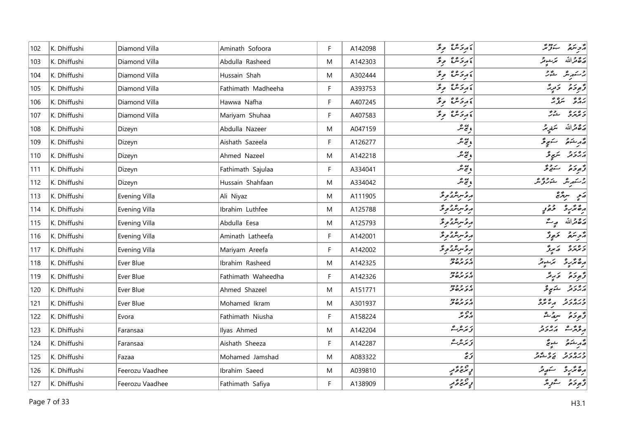| 102 | K. Dhiffushi | Diamond Villa   | Aminath Sofoora    | F  | A142098 | أوَرَدَ مَنْ وَقَر                           | سەدىر<br>لتستريخهم                                                                                                                                                                                      |
|-----|--------------|-----------------|--------------------|----|---------|----------------------------------------------|---------------------------------------------------------------------------------------------------------------------------------------------------------------------------------------------------------|
| 103 | K. Dhiffushi | Diamond Villa   | Abdulla Rasheed    | M  | A142303 | أؤرخ مثنا وقر                                | پره قرالله تمر شوند                                                                                                                                                                                     |
| 104 | K. Dhiffushi | Diamond Villa   | Hussain Shah       | M  | A302444 | ئەر <i>ۇش</i> مۇق                            | جر سکھر ہے جاتے ہے کہ ایک ک                                                                                                                                                                             |
| 105 | K. Dhiffushi | Diamond Villa   | Fathimath Madheeha | F. | A393753 | بي برخ مثنا<br>حرقخر                         | وٌ و دَمَنِ دَ دِرِيَّ                                                                                                                                                                                  |
| 106 | K. Dhiffushi | Diamond Villa   | Hawwa Nafha        | F  | A407245 | }ربر مثنا وقر                                | رەپ رەپر                                                                                                                                                                                                |
| 107 | K. Dhiffushi | Diamond Villa   | Mariyam Shuhaa     | F  | A407583 | ئەر <i>ەڭ بۇ</i> ئ                           | ر پیشر ش<br>ر ه بر ه<br><del>د</del> بربرگ                                                                                                                                                              |
| 108 | K. Dhiffushi | Dizeyn          | Abdulla Nazeer     | M  | A047159 | وتھ مگر<br>مربع مگر                          | <b>200 مر</b> الله<br>سَمْدِيرٌ                                                                                                                                                                         |
| 109 | K. Dhiffushi | Dizeyn          | Aishath Sazeela    | F  | A126277 | وتھ مگر<br>مربع مگر                          | ۇرمۇق سىمپۇ                                                                                                                                                                                             |
| 110 | K. Dhiffushi | Dizeyn          | Ahmed Nazeel       | M  | A142218 | وتھ مگر<br>حر <sup>ص</sup>                   | رەرد سەر                                                                                                                                                                                                |
| 111 | K. Dhiffushi | Dizeyn          | Fathimath Sajulaa  | F. | A334041 | و مچ مګر<br>م                                | أوالمحافظ والمستفتر                                                                                                                                                                                     |
| 112 | K. Dhiffushi | Dizeyn          | Hussain Shahfaan   | M  | A334042 | و پھ مگر<br>فر                               | برخير عددومر                                                                                                                                                                                            |
| 113 | K. Dhiffushi | Evening Villa   | Ali Niyaz          | M  | A111905 | ىر قەسرىكرى ئوگە<br>م                        | $\begin{array}{cc} \mathcal{E}\overset{\sigma}{\mathcal{F}}_{\mathcal{P}} & \mathcal{F}\overset{\sigma}{\mathcal{A}}\\ \mathcal{E}\overset{\sigma}{\mathcal{F}}_{\mathcal{P}} & \mathcal{E}\end{array}$ |
| 114 | K. Dhiffushi | Evening Villa   | Ibrahim Luthfee    | M  | A125788 | رەً بىر بىرى ئورگە                           | وە ئۈرۈ<br>ترجمي                                                                                                                                                                                        |
| 115 | K. Dhiffushi | Evening Villa   | Abdulla Eesa       | M  | A125793 | ىر قەسرىكى <sub>گ</sub> و ئۇ                 | رە قرالله مەت                                                                                                                                                                                           |
| 116 | K. Dhiffushi | Evening Villa   | Aminath Latheefa   | F  | A142001 | ىر قەسرىكى <sub>گ</sub> و ئۇ                 | أزويته وكالحفيظ                                                                                                                                                                                         |
| 117 | K. Dhiffushi | Evening Villa   | Mariyam Areefa     | F. | A142002 | ىر قەسرىكرى <sub>تو</sub> ڭر                 | במתכ" ב'תְצֹ                                                                                                                                                                                            |
| 118 | K. Dhiffushi | Ever Blue       | Ibrahim Rasheed    | M  | A142325 | ړ ر د د د<br>د و بره ن                       | ەر ھەتمەر 2<br>س<br>ىمەھىيەتىر                                                                                                                                                                          |
| 119 | K. Dhiffushi | Ever Blue       | Fathimath Waheedha | F. | A142326 | ג ב בבב<br>גם <del>ג</del> ם <del>ב</del>    | ۇ ب <sub>و</sub> ر د<br>ءَ ٻرِ تَرُ                                                                                                                                                                     |
| 120 | K. Dhiffushi | Ever Blue       | Ahmed Shazeel      | M  | A151771 | ג ב בבב<br>גם <del>ג</del> ם <del>ב</del>    | بر ه بر د<br>م <i>ر</i> گرفتر<br>شە پەر                                                                                                                                                                 |
| 121 | K. Dhiffushi | Ever Blue       | Mohamed Ikram      | M  | A301937 | ړ د د د د<br>د و بره تر                      | כנסנכ הטיבים<br>כגמכת העיבי                                                                                                                                                                             |
| 122 | K. Dhiffushi | Evora           | Fathimath Niusha   | F  | A158224 | ء ص عر                                       | قَەردە بىي ش                                                                                                                                                                                            |
| 123 | K. Dhiffushi | Faransaa        | Ilyas Ahmed        | M  | A142204 | ۇ ئەرشە                                      | مروش مده ده                                                                                                                                                                                             |
| 124 | K. Dhiffushi | Faransaa        | Aishath Sheeza     | F  | A142287 | ۇ ئەيرىشە                                    | أقهر مشرقه الشوشح                                                                                                                                                                                       |
| 125 | K. Dhiffushi | Fazaa           | Mohamed Jamshad    | M  | A083322 | وًجَ                                         | ورەرو رەيدو<br><i>وبەم</i> وتر ق <sub>ە</sub> ۋىشۇتر                                                                                                                                                    |
| 126 | K. Dhiffushi | Feerozu Vaadhee | Ibrahim Saeed      | M  | A039810 | ر ه د و و.<br>پ <sub>ر</sub> ټرې <i>و</i> تو | ە ھېڭرىر <sup>ە</sup><br>سکھر قر                                                                                                                                                                        |
| 127 | K. Dhiffushi | Feerozu Vaadhee | Fathimath Safiya   | F  | A138909 | و پرېځ ځه په                                 | وَجوحة سُرُوتَهُ                                                                                                                                                                                        |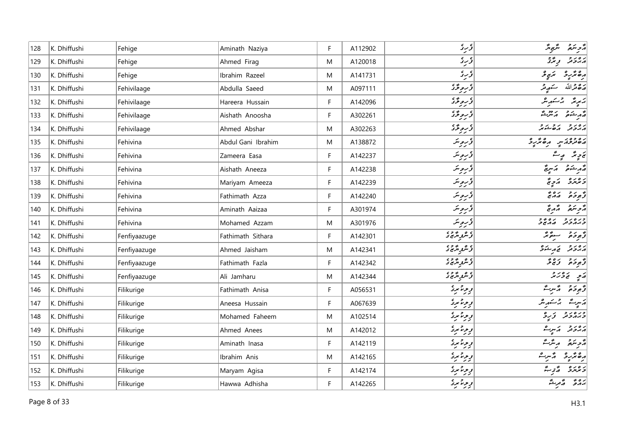| 128 | K. Dhiffushi | Fehige       | Aminath Naziya     | F         | A112902 | و رءِ<br>ڪ                                    | متنبح تر<br>أأرمر مترة                                 |
|-----|--------------|--------------|--------------------|-----------|---------|-----------------------------------------------|--------------------------------------------------------|
| 129 | K. Dhiffushi | Fehige       | Ahmed Firag        | M         | A120018 | ې<br>توري                                     | أروره ويرة                                             |
| 130 | K. Dhiffushi | Fehige       | Ibrahim Razeel     | M         | A141731 | ې<br>توري                                     | ە ھەترىرى<br>س<br>بَرَىږچ                              |
| 131 | K. Dhiffushi | Fehivilaage  | Abdulla Saeed      | M         | A097111 | ې ره دي.<br>د سره د د                         | 200 مرالله<br>ستهدشر                                   |
| 132 | K. Dhiffushi | Fehivilaage  | Hareera Hussain    | F         | A142096 | ۇروڭۇ<br><u>سىرى</u> ر                        | رىمىدىكە رەكسىتىرىكى                                   |
| 133 | K. Dhiffushi | Fehivilaage  | Aishath Anoosha    | F         | A302261 | ۇروڭۇ                                         | م ديدة مركز                                            |
| 134 | K. Dhiffushi | Fehivilaage  | Ahmed Abshar       | M         | A302263 | ۇروڭۇ                                         | رەرد رەئبىر                                            |
| 135 | K. Dhiffushi | Fehivina     | Abdul Gani Ibrahim | ${\sf M}$ | A138872 | ۇروپر                                         | גפנגלית תפיציב                                         |
| 136 | K. Dhiffushi | Fehivina     | Zameera Easa       | F         | A142237 | ۇروپر                                         | بمجيش ميش                                              |
| 137 | K. Dhiffushi | Fehivina     | Aishath Aneeza     | F         | A142238 | ۇر <sub>چە مى</sub> ر                         | قەرشىق مەسبقى                                          |
| 138 | K. Dhiffushi | Fehivina     | Mariyam Ameeza     | F.        | A142239 | ۇروپر                                         | ر ه ر ه<br>تر <del>ب</del> ر بر<br>برَدِجٌ             |
| 139 | K. Dhiffushi | Fehivina     | Fathimath Azza     | F         | A142240 | ۇر <sub>ە</sub> بىر                           | رەپچ<br>ۇ بو ئەم                                       |
| 140 | K. Dhiffushi | Fehivina     | Aminath Aaizaa     | F         | A301974 | ۇروپىر                                        | و څخه سرچ<br>ەرىج                                      |
| 141 | K. Dhiffushi | Fehivina     | Mohamed Azzam      | M         | A301976 | ۇرەبىر                                        | و ره ر و<br><i>و پر</i> پر تر<br>っちのち                  |
| 142 | K. Dhiffushi | Fenfiyaazuge | Fathimath Sithara  | F         | A142301 | ې هرو پر دې<br>د شرو پر پر                    | توجوجو سوتمر                                           |
| 143 | K. Dhiffushi | Fenfiyaazuge | Ahmed Jaisham      | M         | A142341 | ، عروج دي.<br>د شوري د                        | أرور و محمد مشرقه                                      |
| 144 | K. Dhiffushi | Fenfiyaazuge | Fathimath Fazla    | F         | A142342 | ع ش <sub>ر پر پ</sub> ر د ،<br> زیند پر پر بی | توجوحه تركافر                                          |
| 145 | K. Dhiffushi | Fenfiyaazuge | Ali Jamharu        | M         | A142344 | ع عروج دي.<br> زينزپورتبن <sub>ک</sub>        | أتزمج وأحراجه                                          |
| 146 | K. Dhiffushi | Filikurige   | Fathimath Anisa    | F.        | A056531 | و پرې <sup>د</sup> بر <sub>چ</sub>            | ۋە ئەھرىشى ئەرب                                        |
| 147 | K. Dhiffushi | Filikurige   | Aneesa Hussain     | F         | A067639 | و و پ <sup>رې</sup> د <sup>ي</sup>            | جە <b>سە<sub>مە</sub>ر</b> بىر<br>ړ س <sub>ر</sub> يځه |
| 148 | K. Dhiffushi | Filikurige   | Mohamed Faheem     | M         | A102514 | و پر رہ<br>بربر میری                          | وره رو کرده                                            |
| 149 | K. Dhiffushi | Filikurige   | Ahmed Anees        | M         | A142012 | و و پ <sup>ر</sup> ېږ <sup>ي</sup>            | رەرد كەس                                               |
| 150 | K. Dhiffushi | Filikurige   | Aminath Inasa      | F         | A142119 | و د ر <sup>ه</sup> بردگی<br>بر بر             | ىرىئزىسە<br>أرمر وسرة                                  |
| 151 | K. Dhiffushi | Filikurige   | Ibrahim Anis       | M         | A142165 | و و ما مود<br>بر بر                           | $rac{2}{3}$                                            |
| 152 | K. Dhiffushi | Filikurige   | Maryam Agisa       | F         | A142174 | ووړنمونه                                      | ر ه ر ه<br><del>و</del> بربرو<br>وتمتحه يستح           |
| 153 | K. Dhiffushi | Filikurige   | Hawwa Adhisha      | F         | A142265 | و و پ <sup>ر</sup> مر <sup>ي</sup>            | برە ئە ئەر                                             |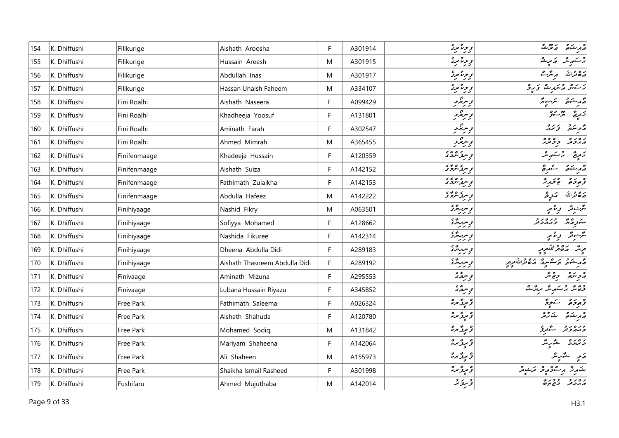| 154 | K. Dhiffushi | Filikurige   | Aishath Aroosha               | F  | A301914 | و پرې <sup>د</sup> ېدنې<br>سر              |                                                                                                      |
|-----|--------------|--------------|-------------------------------|----|---------|--------------------------------------------|------------------------------------------------------------------------------------------------------|
| 155 | K. Dhiffushi | Filikurige   | Hussain Areesh                | M  | A301915 | و پرې <sup>د</sup> بردگی<br>ر              | ر<br>رئاستهر شه مکم میکنند.<br>مناسب                                                                 |
| 156 | K. Dhiffushi | Filikurige   | Abdullah Inas                 | M  | A301917 | و پرې <sup>د</sup> پرې                     | رة والله مشرف                                                                                        |
| 157 | K. Dhiffushi | Filikurige   | Hassan Unaish Faheem          | M  | A334107 | و وړځ برن <u>ځ</u>                         | ير كىش ئەسكىرىشى كەر ئى                                                                              |
| 158 | K. Dhiffushi | Fini Roalhi  | Aishath Naseera               | F  | A099429 | وسرچمو                                     |                                                                                                      |
| 159 | K. Dhiffushi | Fini Roalhi  | Khadheeja Yoosuf              | F  | A131801 | وسرچمو                                     | ر ديده ديد وه<br>ري ديد                                                                              |
| 160 | K. Dhiffushi | Fini Roalhi  | Aminath Farah                 | F  | A302547 | وسرچمو                                     | أزويتم وتمر                                                                                          |
| 161 | K. Dhiffushi | Fini Roalhi  | Ahmed Mimrah                  | M  | A365455 | وسرچمو                                     | גם גב בכתב                                                                                           |
| 162 | K. Dhiffushi | Finifenmaage | Khadeeja Hussain              | F  | A120359 | و سرڈ مرگز ڈ                               | تزمريق الرستمريش                                                                                     |
| 163 | K. Dhiffushi | Finifenmaage | Aishath Suiza                 | F  | A142152 | ر سربۇ بىر <i>دى</i><br>سربۇ بىردى         | وكرمشكم سنهريج                                                                                       |
| 164 | K. Dhiffushi | Finifenmaage | Fathimath Zulaikha            | F. | A142153 | ر سرگە شر <i>د</i> ؟<br>سرگە شر <i>د</i> ؟ | وحوذه تمخدر                                                                                          |
| 165 | K. Dhiffushi | Finifenmaage | Abdulla Hafeez                | M  | A142222 | إربرؤ مدقني                                | بره والله بروه                                                                                       |
| 166 | K. Dhiffushi | Finihiyaage  | Nashid Fikry                  | M  | A063501 | او مدر پروژه<br><u>پ</u>                   | ش در و م <sup>و</sup> مبر<br>مرد و مومبر                                                             |
| 167 | K. Dhiffushi | Finihiyaage  | Sofiyya Mohamed               | F  | A128662 | و سربر پر <sup>ی</sup><br>بر بر بر         | ה בני הייני                                                                                          |
| 168 | K. Dhiffushi | Finihiyaage  | Nashida Fikuree               | F  | A142314 | او سربر پر ج<br>او سربر پر چ               | مگرهبردگر او ر <sup>و</sup> مبر<br>مرد استان                                                         |
| 169 | K. Dhiffushi | Finihiyaage  | Dheena Abdulla Didi           | F  | A289183 | او مدر دي.<br><u>اس</u> ر مرد              | وريتر برة قراللّه ورورٍ                                                                              |
| 170 | K. Dhiffushi | Finihiyaage  | Aishath Thasneem Abdulla Didi | F  | A289192 | او مدر پر چ<br><u>او م</u> در پر چ         | م مشعر و من من من اللّه معنى اللّه معنى اللّه من اللّه من اللّه معنى من اللّه من اللّه من اللّه من ا |
| 171 | K. Dhiffushi | Finivaage    | Aminath Mizuna                | F. | A295553 | و سرچ <sup>ي</sup><br>تر بر                | أأدجني وبخش                                                                                          |
| 172 | K. Dhiffushi | Finivaage    | Lubana Hussain Riyazu         | F  | A345852 | وسرچ                                       | وەنگە جاسكەنگر بىرەگەنشە                                                                             |
| 173 | K. Dhiffushi | Free Park    | Fathimath Saleema             | F  | A026324 | و سرز سره<br>                              | ۇۋۇۋە سەرۇ                                                                                           |
| 174 | K. Dhiffushi | Free Park    | Aishath Shahuda               | F  | A120780 | ە بېرۇپر <sup>ە</sup>                      | و<br>مەرسىنى سىرتىر                                                                                  |
| 175 | K. Dhiffushi | Free Park    | Mohamed Sodiq                 | M  | A131842 | ە بېرۇپر <sup>ە</sup>                      | ورەر د پەرچ<br><i>دىدە</i> ر تەبەرتى                                                                 |
| 176 | K. Dhiffushi | Free Park    | Mariyam Shaheena              | F  | A142064 | ە بېرۇ بر <sup>ە</sup>                     | دەرە ئىگېدىگە                                                                                        |
| 177 | K. Dhiffushi | Free Park    | Ali Shaheen                   | M  | A155973 | ە بېرۇ بر <sup>ە</sup>                     | أركمني المستقرين                                                                                     |
| 178 | K. Dhiffushi | Free Park    | Shaikha Ismail Rasheed        | F. | A301998 | ژىپەرتىرىد                                 | خروشه ومعقوق لاجوق                                                                                   |
| 179 | K. Dhiffushi | Fushifaru    | Ahmed Mujuthaba               | M  | A142014 | ژىرۇ ئە                                    | ره رو دوره<br>مهرونر ونړمون                                                                          |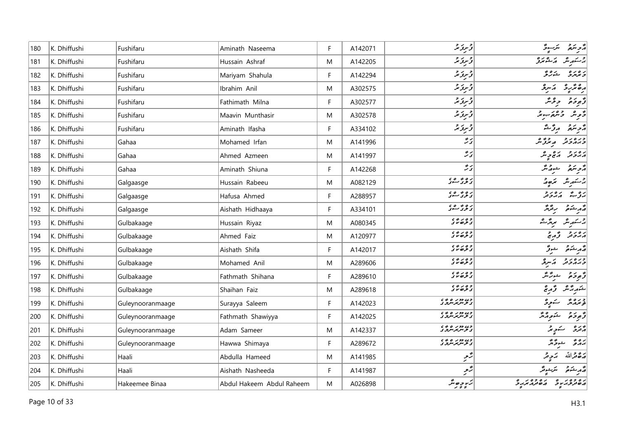| 180 | K. Dhiffushi | Fushifaru        | Aminath Naseema           | F.          | A142071 | ۇىرۇ ئە                                                   | ومحر سرد<br>ىئرسىدى                                          |
|-----|--------------|------------------|---------------------------|-------------|---------|-----------------------------------------------------------|--------------------------------------------------------------|
| 181 | K. Dhiffushi | Fushifaru        | Hussain Ashraf            | M           | A142205 | ۇىرىگە                                                    | ە ئەشەئىرى<br>جرىسە مەھر                                     |
| 182 | K. Dhiffushi | Fushifaru        | Mariyam Shahula           | F           | A142294 | ۇىرىگە                                                    | ر ه ر ه<br><del>د</del> بربرگر<br>رشەرىخە                    |
| 183 | K. Dhiffushi | Fushifaru        | Ibrahim Anil              | M           | A302575 | ۇىرۇ ئە                                                   | ە ھەترىر <i>ە</i><br>ىرسرىچە                                 |
| 184 | K. Dhiffushi | Fushifaru        | Fathimath Milna           | $\mathsf F$ | A302577 | ژىرد ئە                                                   | و گهو تر د<br>مستق<br>ر و پگر                                |
| 185 | K. Dhiffushi | Fushifaru        | Maavin Munthasir          | M           | A302578 | ۇىردىم                                                    | ۇ <sub>مۇ</sub> بىر<br>د ۵ پر به د                           |
| 186 | K. Dhiffushi | Fushifaru        | Aminath Ifasha            | F           | A334102 | ۇ <sub>مرى</sub> جە ئە                                    | پ <sup>ر</sup> تر سرچ<br>ىرىۋىسە                             |
| 187 | K. Dhiffushi | Gahaa            | Mohamed Irfan             | M           | A141996 | ىزچ                                                       | ە ئىرتى شر<br>و رە ر د<br><i>د بر</i> گرىر                   |
| 188 | K. Dhiffushi | Gahaa            | Ahmed Azmeen              | M           | A141997 | ىزچ                                                       | קסקר קס <sub>קי</sub> ת<br>ההכנק השקית                       |
| 189 | K. Dhiffushi | Gahaa            | Aminath Shiuna            | F           | A142268 | ىزچ                                                       | شەرگە ئىگر<br>أرمز برد                                       |
| 190 | K. Dhiffushi | Galgaasge        | Hussain Rabeeu            | M           | A082129 | ر ه بر ه ،<br>د نور سور                                   | جرىسە مەھر<br>بمرحد                                          |
| 191 | K. Dhiffushi | Galgaasge        | Hafusa Ahmed              | F.          | A288957 | ر ه بر ه ،<br>د نورگسور                                   | پروژو<br>بروية                                               |
| 192 | K. Dhiffushi | Galgaasge        | Aishath Hidhaaya          | F           | A334101 | ر ه بر ه ،<br>د نرگ                                       | پە<br>مەم شىخ خ<br>ر ترگر                                    |
| 193 | K. Dhiffushi | Gulbakaage       | Hussain Riyaz             | M           | A080345 | د و ړ د  ،<br>د نره نړ                                    | ىروگرىشە<br>برستهرینگ                                        |
| 194 | K. Dhiffushi | Gulbakaage       | Ahmed Faiz                | M           | A120977 |                                                           | ر ەر ج<br>م <i>.ئ</i> رى تىر<br>تر د بح                      |
| 195 | K. Dhiffushi | Gulbakaage       | Aishath Shifa             | F           | A142017 | و ه ر پر پر<br>د <del>تر</del> ن مر                       | ر<br>د که د مشوی<br>مشدوٌ                                    |
| 196 | K. Dhiffushi | Gulbakaage       | Mohamed Anil              | M           | A289606 | و ه ر پر پ<br><b>ر</b> نوځ تر                             | و ر ه ر و<br>د بر پر تر<br>رَ سربڑ                           |
| 197 | K. Dhiffushi | Gulbakaage       | Fathmath Shihana          | F           | A289610 | و و ر پر ۽<br>ي <del>ن</del> ره نو <sub>ک</sub>           | ىنىدىر ئىگر<br>ۇ ب <sub>و</sub> ر د                          |
| 198 | K. Dhiffushi | Gulbakaage       | Shaihan Faiz              | M           | A289618 | وه ر د »<br>د <del>ن</del> ره مړ                          | ىشكە <i>ر بە</i> تىگە<br>تٌر مع                              |
| 199 | K. Dhiffushi | Guleynooranmaage | Surayya Saleem            | F           | A142023 | وړ، دور ه په ،<br>د نوسرپرسر <del>و</del> د               | و ر ه و.<br>څو برورنر<br>سەوۋ                                |
| 200 | K. Dhiffushi | Guleynooranmaage | Fathmath Shawiyya         | $\mathsf F$ | A142025 | وړ، دور ه پو ،<br>د <del>نو</del> سرپوسر <del>ن</del> و د | شەھ ەر بۇ<br>وٌجوحهُ                                         |
| 201 | K. Dhiffushi | Guleynooranmaage | Adam Sameer               | M           | A142337 | وړ، دور ه په ،<br>د <del>ن</del> رسرپرسر <del>و</del> د   | پە رە<br>مەنزۈ<br>سكرد بر                                    |
| 202 | K. Dhiffushi | Guleynooranmaage | Hawwa Shimaya             | $\mathsf F$ | A289672 | وړ، دور ه و ،<br>د نوسربرسرچ د                            | ر ه پ<br>بر د څ<br>مشوقراتر                                  |
| 203 | K. Dhiffushi | Haali            | Abdulla Hameed            | M           | A141985 | رٌموِ                                                     | بر25 الله<br>برَحٍ قر                                        |
| 204 | K. Dhiffushi | Haali            | Aishath Nasheeda          | F           | A141987 | اقحع                                                      | و<br>پر کر شوځ                                               |
| 205 | K. Dhiffushi | Hakeemee Binaa   | Abdul Hakeem Abdul Raheem | M           | A026898 | ر بر چە بىگە<br>ئىسىمى                                    | ره وه ر<br>مەھىرىچە <i>ر</i> ى<br>ر ه د ه ر ه<br>پره تربر تر |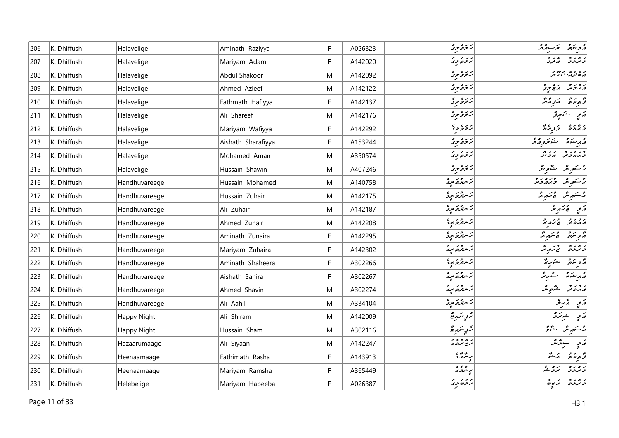| 206 | K. Dhiffushi | Halavelige    | Aminath Raziyya    | F  | A026323 | ژیخ عربی                                       | ىر سىدەرگە<br>أرمر وسنرة                          |
|-----|--------------|---------------|--------------------|----|---------|------------------------------------------------|---------------------------------------------------|
| 207 | K. Dhiffushi | Halavelige    | Mariyam Adam       | F. | A142020 | ترىخ عريج                                      | ر ه ر ه<br><del>د</del> بربر د<br>پور ہ<br>مرکز ژ |
| 208 | K. Dhiffushi | Halavelige    | Abdul Shakoor      | M  | A142092 | ئەنزۇرى                                        | ر ٥ ۶ ٥ ٥ روو و<br>پرڪ تر ۾ شوما <sub>م</sub> ر   |
| 209 | K. Dhiffushi | Halavelige    | Ahmed Azleef       | M  | A142122 | ژبره و پر                                      | د ه د د د ه د و                                   |
| 210 | K. Dhiffushi | Halavelige    | Fathmath Hafiyya   | F  | A142137 | ئەنزۇمۇر                                       | רבים בינתי                                        |
| 211 | K. Dhiffushi | Halavelige    | Ali Shareef        | M  | A142176 | ر ر ،<br>ر د د د د                             | أَرَمَ وَسَمَعِينٌ                                |
| 212 | K. Dhiffushi | Halavelige    | Mariyam Wafiyya    | F  | A142292 | ر ر ،<br>رنوع پور                              |                                                   |
| 213 | K. Dhiffushi | Halavelige    | Aishath Sharafiyya | F. | A153244 | ر ر ،<br>ر د د د د                             | مەر شىم ئىستىر ئەمە                               |
| 214 | K. Dhiffushi | Halavelige    | Mohamed Aman       | M  | A350574 | ریره ی                                         | כנים ני הבית                                      |
| 215 | K. Dhiffushi | Halavelige    | Hussain Shawin     | M  | A407246 | ر ره د ه                                       | جر سكور مشور مشروب مشر                            |
| 216 | K. Dhiffushi | Handhuvareege | Hussain Mohamed    | M  | A140758 | ئەس <i>ەۋە بې</i> رى                           | بر کرده دره در د                                  |
| 217 | K. Dhiffushi | Handhuvareege | Hussain Zuhair     | M  | A142175 | ئەسەترەر ئىرىگى                                | جاسكهر مكتفر المحركة ويحر                         |
| 218 | K. Dhiffushi | Handhuvareege | Ali Zuhair         | M  | A142187 | ئەس <i>بەدى بې</i> رىگە                        | أوسم ويتمر وحمد                                   |
| 219 | K. Dhiffushi | Handhuvareege | Ahmed Zuhair       | M  | A142208 | ر سرچر <sub>سر</sub> ي                         | رەرو ور                                           |
| 220 | K. Dhiffushi | Handhuvareege | Aminath Zunaira    | F  | A142295 | ر سرچر <sub>سر</sub> ي                         | أأترسم وسمير                                      |
| 221 | K. Dhiffushi | Handhuvareege | Mariyam Zuhaira    | F. | A142302 | ئەسە <i>تى ئە</i> رى                           | ىچ ئەم بىر<br>ر ه ر ه<br><del>ر</del> بربرگ       |
| 222 | K. Dhiffushi | Handhuvareege | Aminath Shaheera   | F. | A302266 | ئەس <i>بەدى بې</i> رىگە                        | ىشكە بەتتىر<br>أرمز تر                            |
| 223 | K. Dhiffushi | Handhuvareege | Aishath Sahira     | F. | A302267 | ئەس <i>ەقرى</i> ئىرىگى                         | ستەرىتى<br>و مر شو د<br>مرم شو ه                  |
| 224 | K. Dhiffushi | Handhuvareege | Ahmed Shavin       | M  | A302274 | ر سرچر <sub>سر</sub> م<br>سرچر <i>ی م</i> ر پر | پروژبر<br>ىشگە ھەتىر                              |
| 225 | K. Dhiffushi | Handhuvareege | Ali Aahil          | M  | A334104 | ئەسە <i>تى كى</i> رى                           | ړې د کرد                                          |
| 226 | K. Dhiffushi | Happy Night   | Ali Shiram         | M  | A142009 | <sup>ج</sup> ب <sub>و</sub> سَرم <sup>9</sup>  | أرشح المستوحر                                     |
| 227 | K. Dhiffushi | Happy Night   | Hussain Sham       | M  | A302116 | ر<br>روپه مور <u>م</u>                         | جەسكىرىش ھەق                                      |
| 228 | K. Dhiffushi | Hazaarumaage  | Ali Siyaan         | M  | A142247 | ر پر و د »<br>رسخ مرو د                        | ړې سورتنگه<br>مسيح                                |
| 229 | K. Dhiffushi | Heenaamaage   | Fathimath Rasha    | F  | A143913 | ر پر پر <sup>ج</sup><br>پر سرچر <sub>ک</sub>   | وٌمِ وَوَ تَمَ تَمَ يَسُرُّ                       |
| 230 | K. Dhiffushi | Heenaamaage   | Mariyam Ramsha     | F. | A365449 | ر پېژونه<br>په مترد د                          | وبروره<br>بروشة                                   |
| 231 | K. Dhiffushi | Helebelige    | Mariyam Habeeba    | F  | A026387 | ركموهور                                        | ره ره بره څه                                      |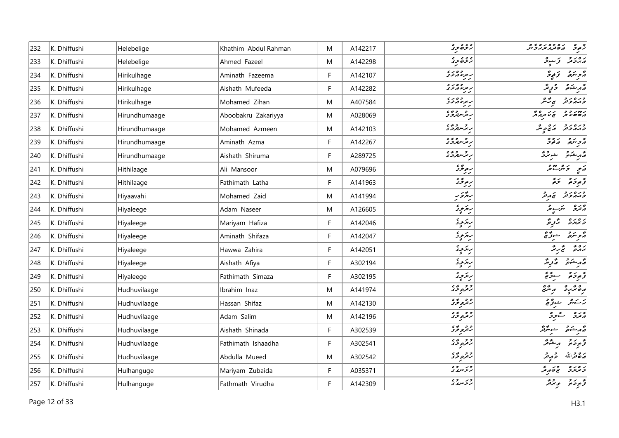| 232 | K. Dhiffushi | Helebelige    | Khathim Abdul Rahman | M  | A142217 | ئ ئ ئ م ئ                               | ره وه ره د ه<br>پره تر پر <i>پر چ</i> س<br>رحمو څه  |
|-----|--------------|---------------|----------------------|----|---------|-----------------------------------------|-----------------------------------------------------|
| 233 | K. Dhiffushi | Helebelige    | Ahmed Fazeel         | M  | A142298 | ئ ئ ئ ئ ج                               | پر ژ د تر<br>ۇ سىيەنئى                              |
| 234 | K. Dhiffushi | Hirikulhage   | Aminath Fazeema      | F. | A142107 | ار بررور ،<br>ب<br>ب                    | أرمز                                                |
| 235 | K. Dhiffushi | Hirikulhage   | Aishath Mufeeda      | F. | A142282 | <br> ربور پورویوی<br> --                | و مر<br>مرگه مشوحو                                  |
| 236 | K. Dhiffushi | Hirikulhage   | Mohamed Zihan        | M  | A407584 | ار بر ده ر ،<br>ار بر ماړ کوي           | و ر ه ر د<br><i>و پر</i> پر تر                      |
| 237 | K. Dhiffushi | Hirundhumaage | Aboobakru Zakariyya  | M  | A028069 | ر پر سرچرۍ                              |                                                     |
| 238 | K. Dhiffushi | Hirundhumaage | Mohamed Azmeen       | M  | A142103 | ر بر سرور د<br>ر بر سرفر د              | דנסני נפית                                          |
| 239 | K. Dhiffushi | Hirundhumaage | Aminath Azma         | F  | A142267 | ر پژسرپر ژ می                           |                                                     |
| 240 | K. Dhiffushi | Hirundhumaage | Aishath Shiruma      | F  | A289725 | ر پژسرپژگر                              | أوه مشكاه الشوجرة                                   |
| 241 | K. Dhiffushi | Hithilaage    | Ali Mansoor          | M  | A079696 | رە بۇ ئ                                 | أەبو كالدودو                                        |
| 242 | K. Dhiffushi | Hithilaage    | Fathimath Latha      | F. | A141963 | رەتى<br>رىرىپى                          | وٌجودَ يَوَ وَ                                      |
| 243 | K. Dhiffushi | Hiyaavahi     | Mohamed Zaid         | M  | A141994 | رېژوَر                                  | כנפנ באב                                            |
| 244 | K. Dhiffushi | Hiyaleege     | Adam Naseer          | M  | A126605 | رېز پوت <sup>ې</sup>                    | أروه الكرسومر                                       |
| 245 | K. Dhiffushi | Hiyaleege     | Mariyam Hafiza       | F  | A142046 | رېزىپە <sup>ي</sup>                     | ر ه ر ه<br><del>د</del> بربرگر<br>بُرُوجٌ           |
| 246 | K. Dhiffushi | Hiyaleege     | Aminath Shifaza      | F  | A142047 | رېزىپە <sup>ي</sup>                     | سندوگريج<br>أرمر وسره                               |
| 247 | K. Dhiffushi | Hiyaleege     | Hawwa Zahira         | F. | A142051 | رېزىپە<br>ئە                            | رە پە<br>پچ سر پټر<br>م                             |
| 248 | K. Dhiffushi | Hiyaleege     | Aishath Afiya        | F. | A302194 | رېزى <sub>ۋى</sub>                      | وتزويز<br>وكرم شكوتمو                               |
| 249 | K. Dhiffushi | Hiyaleege     | Fathimath Simaza     | F. | A302195 | رېزوي<br>ر                              | ۇ بور د<br>سىدىخ                                    |
| 250 | K. Dhiffushi | Hudhuvilaage  | Ibrahim Inaz         | M  | A141974 | 3 قرەرگ <sup>ى</sup> دى                 | ە ھەترىرى<br>برھەترىرى<br>ەرىتىج                    |
| 251 | K. Dhiffushi | Hudhuvilaage  | Hassan Shifaz        | M  | A142130 | ر و د و و د<br>ر تره مرد                | برسەيىتە<br>سنوتر مح                                |
| 252 | K. Dhiffushi | Hudhuvilaage  | Adam Salim           | M  | A142196 | د د<br>رتره ژی                          | پەرە<br>مەنىرى<br>ستكور                             |
| 253 | K. Dhiffushi | Hudhuvilaage  | Aishath Shinada      | F  | A302539 | د و په په<br>رتر <sub>ي م</sub> ور      | ے سرگر                                              |
| 254 | K. Dhiffushi | Hudhuvilaage  | Fathimath Ishaadha   | F  | A302541 | د د په ،<br>رتر <sub>ي</sub> ونو .      | ەرسەڭمە<br>وٌجوحَ حو                                |
| 255 | K. Dhiffushi | Hudhuvilaage  | Abdulla Mueed        | M  | A302542 | ر و د و و د<br>راند مرکز د              | ەھىراللە<br>ترەپەتر                                 |
| 256 | K. Dhiffushi | Hulhanguge    | Mariyam Zubaida      | F. | A035371 | و ر<br>ری سرو ی                         | ح ئەمرىتر<br>ئ<br>ر ه ر ه<br>تر <del>ب</del> ر بر ژ |
| 257 | K. Dhiffushi | Hulhanguge    | Fathmath Virudha     | F  | A142309 | ح پر سر و <sup>ي</sup><br>سر تو سر پر ي | قرموخر ويتمر                                        |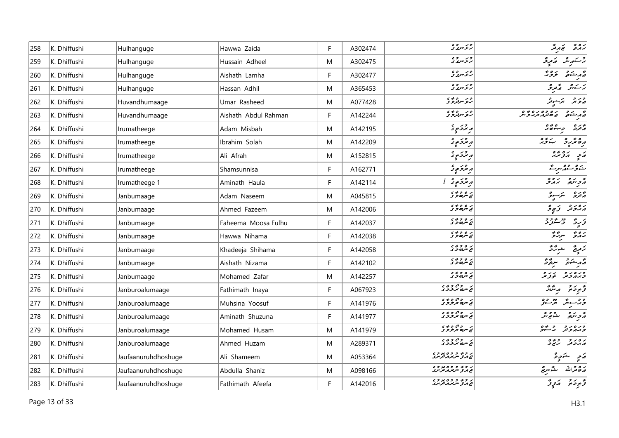| 258 | K. Dhiffushi | Hulhanguge          | Hawwa Zaida          | F           | A302474 | و ر<br>رنگ سرچ ی                                   | برە ئە ئەر                                                   |
|-----|--------------|---------------------|----------------------|-------------|---------|----------------------------------------------------|--------------------------------------------------------------|
| 259 | K. Dhiffushi | Hulhanguge          | Hussain Adheel       | M           | A302475 | و ر پر و ،<br>رنگ سری ی                            | جرحتهر شركته وكالمحياء                                       |
| 260 | K. Dhiffushi | Hulhanguge          | Aishath Lamha        | F           | A302477 | ح پر سر و <sup>ي</sup>                             | ىرەپ<br>پ <sup>ر</sup> در شوه                                |
| 261 | K. Dhiffushi | Hulhanguge          | Hassan Adhil         | M           | A365453 | ح پر سر و <sup>ي</sup>                             | برسەيىتە<br>ەر بەر بى                                        |
| 262 | K. Dhiffushi | Huvandhumaage       | Umar Rasheed         | M           | A077428 | ور سروره د<br>ره سربرو د                           | ور د کرشونر<br><i>مر</i> چ کر کرشونر                         |
| 263 | K. Dhiffushi | Huvandhumaage       | Aishath Abdul Rahman | F           | A142244 | و ر<br>ره سربرو د                                  | ر ه د ه د ه د ه<br>پره تر پر برگر<br>پر ديگر ج<br>مرکز مشوجو |
| 264 | K. Dhiffushi | Irumatheege         | Adam Misbah          | M           | A142195 | ېر پر دې د په<br>ر                                 | وسنقص<br>پژره<br>د ترو                                       |
| 265 | K. Dhiffushi | Irumatheege         | Ibrahim Solah        | M           | A142209 | ېر بر دې د په<br>ر                                 | اړه تر په ده<br>ک<br>ىبە ئۇر                                 |
| 266 | K. Dhiffushi | Irumatheege         | Ali Afrah            | M           | A152815 | ېر بر دې<br>بر بر دې                               | أەيىس ئەۋىترە                                                |
| 267 | K. Dhiffushi | Irumatheege         | Shamsunnisa          | $\mathsf F$ | A162771 | ېر بر دې<br>بر بر دې د                             | شەۋ شەھ سرىگە                                                |
| 268 | K. Dhiffushi | Irumatheege 1       | Aminath Haula        | F           | A142114 | مرتز د څو د ا                                      | أرمر برد<br>بردبو                                            |
| 269 | K. Dhiffushi | Janbumaage          | Adam Naseem          | M           | A045815 | ر ه د د »<br>ق سره تر د                            | و ده سرگرده                                                  |
| 270 | K. Dhiffushi | Janbumaage          | Ahmed Fazeem         | M           | A142006 | ر ه د و »<br>تع سرحه تر د                          | ر ه ر د<br>م.ر څ تر<br>ترىپى ئى                              |
| 271 | K. Dhiffushi | Janbumaage          | Faheema Moosa Fulhu  | F           | A142037 | ر ه د د »<br>ق سره تر د                            | تر رٍ پیچ<br>د د مشروعه                                      |
| 272 | K. Dhiffushi | Janbumaage          | Hawwa Nihama         | F           | A142038 | ر ه د د »<br>د سره ژ د                             | برەپچ<br>سررگ                                                |
| 273 | K. Dhiffushi | Janbumaage          | Khadeeja Shihama     | F           | A142058 | ر ه د و و ،<br>تع سر <del>ه</del> تر د             | ئر تور <sup>و</sup> گے<br>پ<br>شەرگە گ                       |
| 274 | K. Dhiffushi | Janbumaage          | Aishath Nizama       | $\mathsf F$ | A142102 | ر ه د د »<br>د سره تر د                            | ر<br>دگرار شنوج<br>سرة ژ                                     |
| 275 | K. Dhiffushi | Janbumaage          | Mohamed Zafar        | M           | A142257 | ر ہ د د ۔<br>تع سرح تر ت                           | و رە ر د<br><i>د ب</i> رگرىز<br>ر ر د<br>خونو سر             |
| 276 | K. Dhiffushi | Janburoalumaage     | Fathimath Inaya      | F           | A067923 | ر روم و د ،<br>ق سره مرموم د                       | ەر سىرد<br>و څو څخه د                                        |
| 277 | K. Dhiffushi | Janburoalumaage     | Muhsina Yoosuf       | F           | A141976 | ر<br>تے سرح عرفر تر ی                              | ېږمبره<br>3 يەسەمىگە                                         |
| 278 | K. Dhiffushi | Janburoalumaage     | Aminath Shuzuna      | F           | A141977 | ر<br>تے سرح عرفر تر ی                              | پ <sup>ر</sup> تر سرچ<br>شەم ئەگر                            |
| 279 | K. Dhiffushi | Janburoalumaage     | Mohamed Husam        | M           | A141979 | ر<br>تے سرح سرحر <sup>ی</sup> ت                    | و ره ر و<br><i>و بر</i> د تر<br>برْسَرُو                     |
| 280 | K. Dhiffushi | Janburoalumaage     | Ahmed Huzam          | M           | A289371 | ر<br>تے سرح سرحر <sup>ی</sup> ت                    | ره رو و وه<br>مهرونس ریخ                                     |
| 281 | K. Dhiffushi | Jaufaanuruhdhoshuge | Ali Shameem          | M           | A053364 | ر و بر و و ه پر و ،<br>بی در تو سربور توسری        | ړَ په شَوَدٍ و                                               |
| 282 | K. Dhiffushi | Jaufaanuruhdhoshuge | Abdulla Shaniz       | M           | A098166 | ر و به و و ه پر و ،<br><u>ب</u> ے پر تو سربوری     | برە تراللە<br>ڪُ سرچ                                         |
| 283 | K. Dhiffushi | Jaufaanuruhdhoshuge | Fathimath Afeefa     | F           | A142016 | ر و به و و ه پر و ۽<br><u>تع</u> پر تو سربور توسرو | رَّجْ جَمَعَ صَوِرَ                                          |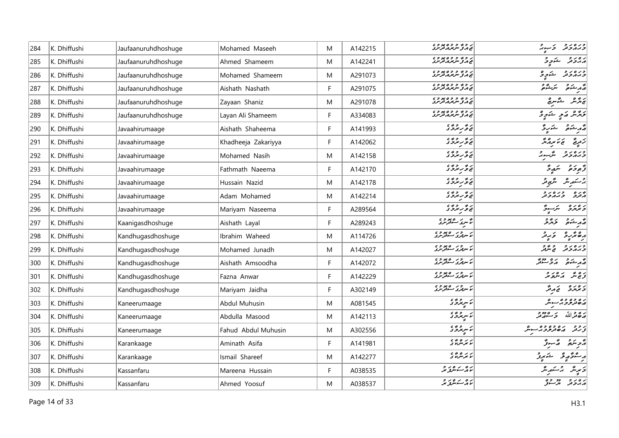| 284 | K. Dhiffushi | Jaufaanuruhdhoshuge | Mohamed Maseeh      | M           | A142215 | ر و د و و ه د و د<br><mark>نے پر تو سربور</mark> توسری  | ورەرو كەبد                                      |
|-----|--------------|---------------------|---------------------|-------------|---------|---------------------------------------------------------|-------------------------------------------------|
| 285 | K. Dhiffushi | Jaufaanuruhdhoshuge | Ahmed Shameem       | M           | A142241 | ر و د و و ه د و د<br><mark>نے پر ت</mark> ی سربور توسر  | پروتر شور و                                     |
| 286 | K. Dhiffushi | Jaufaanuruhdhoshuge | Mohamed Shameem     | M           | A291073 | ر و ده و و ه پر و ،<br>بی بر تو سربور توسری             | و رە ر د<br>تر پر تر تر<br>ستكور                |
| 287 | K. Dhiffushi | Jaufaanuruhdhoshuge | Aishath Nashath     | F           | A291075 | ر و ده و و ه پر و ،<br>بی در تو سربور توسری             | ۇ ب <sub>ەرىشى</sub> ج<br>سرشتره                |
| 288 | K. Dhiffushi | Jaufaanuruhdhoshuge | Zayaan Shaniz       | M           | A291078 | ر و د و و ه د و د<br><mark>نے پر ت</mark> ی سربور توسر  | ىر ئۇس ئىشىرى                                   |
| 289 | K. Dhiffushi | Jaufaanuruhdhoshuge | Layan Ali Shameem   | F.          | A334083 | ر و د و و ه د و د<br>بی د تو سربور توسرد                | تەنگىر كەي خەرد                                 |
| 290 | K. Dhiffushi | Javaahirumaage      | Aishath Shaheema    | F           | A141993 | پر څر بر چر <sup>ي</sup>                                | أقهر مشكرة المشكرة                              |
| 291 | K. Dhiffushi | Javaahirumaage      | Khadheeja Zakariyya | F           | A142062 | ر پر پر پر پر<br>نے تر برتر <sub>ک</sub>                | كَتْرِيعٌ يَجْمَعُ مِنْ مِنْ                    |
| 292 | K. Dhiffushi | Javaahirumaage      | Mohamed Nasih       | M           | A142158 | پر پر پر چر <sub>ي</sub><br>  پئ چر پر چر <sub>چر</sub> | ور ەر د<br>ت <i>ر بە</i> ر تەر<br>ىئرىبىدىر     |
| 293 | K. Dhiffushi | Javaahirumaage      | Fathmath Naeema     | F           | A142170 | ر پر ور ور<br><mark>ن</mark> ے <i>قری</i> ر ور          | ا تو بر د<br>اقرابو <del>ز</del> مو<br>سَمِيرةَ |
| 294 | K. Dhiffushi | Javaahirumaage      | Hussain Nazid       | M           | A142178 | ر پر پر پر پر<br>نے بر بربر پ                           | برستىرىنى ئىترى قر                              |
| 295 | K. Dhiffushi | Javaahirumaage      | Adam Mohamed        | M           | A142214 | ر پر پر پر پر<br>نے بر بربر پر                          | و رە ر د<br>تر پروتر<br>په پر ه<br>د تعري       |
| 296 | K. Dhiffushi | Javaahirumaage      | Mariyam Naseema     | $\mathsf F$ | A289564 | پر بھر روپر پر<br>  بی بھر بھر بر ک                     | تر جمهور و<br>تر <i>جم</i> هور و<br>سترسىدى     |
| 297 | K. Dhiffushi | Kaanigasdhoshuge    | Aishath Layal       | F           | A289243 | ر می در ده بود و د<br>تم سری سسوتسری                    | وكروشكا والمروح                                 |
| 298 | K. Dhiffushi | Kandhugasdhoshuge   | Ibrahim Waheed      | M           | A114726 | ر سرح رکھ ہے و ی<br>ما سرقری سستخر سری                  | رەنزىرو كېيىز                                   |
| 299 | K. Dhiffushi | Kandhugasdhoshuge   | Mohamed Junadh      | M           | A142027 | ر در در ۲۶ و ۲<br>را سرفری سستمرس                       | وره رو و ورو<br>د <i>بر د</i> رو نو ش           |
| 300 | K. Dhiffushi | Kandhugasdhoshuge   | Aishath Amsoodha    | F           | A142072 | ر سرور رہے و ء<br>راسوفر کے فوس                         | و در ده ده دور<br>مگه شوی مرو سور               |
| 301 | K. Dhiffushi | Kandhugasdhoshuge   | Fazna Anwar         | F           | A142229 | ر سرور ره پود و ،<br>ما سرفری سستمرمری                  | زەپر بەيرىيە                                    |
| 302 | K. Dhiffushi | Kandhugasdhoshuge   | Mariyam Jaidha      | F           | A302149 | ر سرور ره پر و ،<br>ما سربری سونترس                     | رەرە يەر                                        |
| 303 | K. Dhiffushi | Kaneerumaage        | Abdul Muhusin       | M           | A081545 | ئەسر پر ئە <sup>ي</sup>                                 | ره وه وه به مار<br>پرېفر <i>و د</i> ر سوس       |
| 304 | K. Dhiffushi | Kaneerumaage        | Abdulla Masood      | M           | A142113 | ر<br>مأسو پر ژی                                         | برە قراللە   ئەمەدر                             |
| 305 | K. Dhiffushi | Kaneerumaage        | Fahud Abdul Muhusin | M           | A302556 | ر سرچري<br>موهر څري                                     | ر د د پره ده ده په د<br>زرند پره ترووبر سوس     |
| 306 | K. Dhiffushi | Karankaage          | Aminath Asifa       | F           | A141981 | ر ر ه و »<br>ما مرس د د                                 | ومحرسكم وأصبوقر                                 |
| 307 | K. Dhiffushi | Karankaage          | Ismail Shareef      | M           | A142277 | ر ر ه و ،<br>ما <del>ب</del> رمبر <i>دا</i> د           | ر شۇر ئەر                                       |
| 308 | K. Dhiffushi | Kassanfaru          | Mareena Hussain     | F           | A038535 | رە بەھ بەر<br>ئام <b>س</b> ىكىشلانتىر                   | ۇيرىگە جىسىرىك                                  |
| 309 | K. Dhiffushi | Kassanfaru          | Ahmed Yoosuf        | M           | A038537 | رە ئەسەردىر<br>مەمرىسى <i>رى</i> ر                      | גם ג' מ' מם<br>ג'ג' כנגר יות ה-יות              |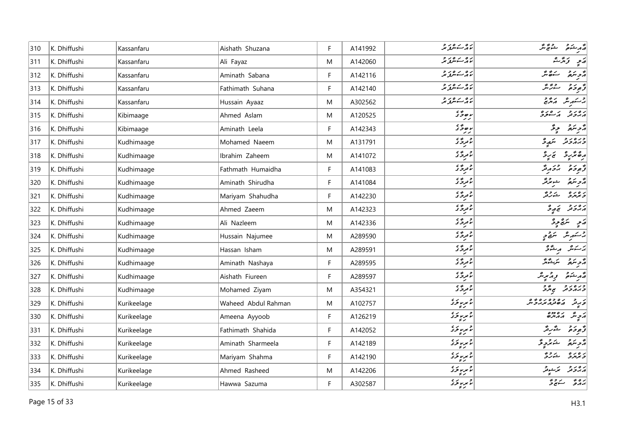| 310 | K. Dhiffushi | Kassanfaru  | Aishath Shuzana     | F         | A141992 | رە بەھ بەر                            |                                                       |
|-----|--------------|-------------|---------------------|-----------|---------|---------------------------------------|-------------------------------------------------------|
| 311 | K. Dhiffushi | Kassanfaru  | Ali Fayaz           | M         | A142060 | رە بەھ بەر<br>بىر مەسۇرىيە            | أتدمج وتركمنك                                         |
| 312 | K. Dhiffushi | Kassanfaru  | Aminath Sabana      | F         | A142116 | رە بەھ بەر                            | ئەھ ئىر<br>أأروسهم                                    |
| 313 | K. Dhiffushi | Kassanfaru  | Fathimath Suhana    | F         | A142140 | ئەھرىشىتىر ئىر                        | يە ئەشر<br>ۇ بوزىر                                    |
| 314 | K. Dhiffushi | Kassanfaru  | Hussain Ayaaz       | M         | A302562 | رە بەھ بەر<br>بىر مەسۇرىيە            | ج ڪرمر شهر مدين ج                                     |
| 315 | K. Dhiffushi | Kibimaage   | Ahmed Aslam         | M         | A120525 | נים<br>נקר                            | بر ٥ پر و<br>م <i>ر</i> بر <del>و</del> مر<br>برمشوقر |
| 316 | K. Dhiffushi | Kibimaage   | Aminath Leela       | F         | A142343 | 550y                                  | ړُوسَرُو پِروُ                                        |
| 317 | K. Dhiffushi | Kudhimaage  | Mohamed Naeem       | ${\sf M}$ | A131791 | د ورځ<br>مامرونو                      | ورەر دىكرو                                            |
| 318 | K. Dhiffushi | Kudhimaage  | Ibrahim Zaheem      | M         | A141072 | د وره<br>مورد د                       | ەرھەتمەر 2<br>ر<br>ىم رد                              |
| 319 | K. Dhiffushi | Kudhimaage  | Fathmath Humaidha   | F         | A141083 | د و ه ،<br>ما تورد د                  | أراموخامي التخاريم                                    |
| 320 | K. Dhiffushi | Kudhimaage  | Aminath Shirudha    | F.        | A141084 | د وره و<br>ما تورد د                  | ړ څر سره<br>شە ئرگر                                   |
| 321 | K. Dhiffushi | Kudhimaage  | Mariyam Shahudha    | F.        | A142230 | توریح د<br>  ما مردگ                  | ر ه ر ه<br><del>د</del> بربرگر<br>شەرقىر              |
| 322 | K. Dhiffushi | Kudhimaage  | Ahmed Zaeem         | M         | A142323 | توریح د                               | גפנג הבל                                              |
| 323 | K. Dhiffushi | Kudhimaage  | Ali Nazleem         | M         | A142336 | د وره و<br>ما تورد د                  | أركمني المتعجم والحراثة                               |
| 324 | K. Dhiffushi | Kudhimaage  | Hussain Najumee     | M         | A289590 | د ورځ<br>مامرچ                        | يز سەر شەھ سىقى ئە                                    |
| 325 | K. Dhiffushi | Kudhimaage  | Hassan Isham        | M         | A289591 | د ورځ<br>مورگو                        | يُرَسَمْشُ مِرْسَمُوْدُ                               |
| 326 | K. Dhiffushi | Kudhimaage  | Aminath Nashaya     | F         | A289595 | د و پرې<br>ما تورگر                   | أأترضم المراشور                                       |
| 327 | K. Dhiffushi | Kudhimaage  | Aishath Fiureen     | F.        | A289597 | د مرد و                               | وشمر مشتوحه<br>و پر سمبر میں                          |
| 328 | K. Dhiffushi | Kudhimaage  | Mohamed Ziyam       | M         | A354321 | توریح ی<br>  تا مریح <sub>ک</sub>     | כנסנב היב                                             |
| 329 | K. Dhiffushi | Kurikeelage | Waheed Abdul Rahman | M         | A102757 | تړیر پوځ<br>  ترېخ                    | ره وه ره د ه<br>پره تربر تر تر<br>ئە بەر<br>ق         |
| 330 | K. Dhiffushi | Kurikeelage | Ameena Ayyoob       | F         | A126219 | تړیر پر دی<br>  سربر مرد              | גְבֶית גם מם                                          |
| 331 | K. Dhiffushi | Kurikeelage | Fathimath Shahida   | F         | A142052 | د<br>با مربو بو د                     | ۇي <sub>م</sub> ودۇ ش <sup>ې</sup> رى <i>د</i>        |
| 332 | K. Dhiffushi | Kurikeelage | Aminath Sharmeela   | F         | A142189 | ر<br>ماسر پوری<br>مسر پور             | וב<br>הקיישות<br>شە ئەرىر ئۇ                          |
| 333 | K. Dhiffushi | Kurikeelage | Mariyam Shahma      | F         | A142190 | ئەبىر بوي<br>  ئاسىر بويى             | ر شرح بحر<br>ر ه ر ه<br>د بربرد                       |
| 334 | K. Dhiffushi | Kurikeelage | Ahmed Rasheed       | M         | A142206 | 3 مربر بر <sup>ج</sup><br>/<br>/ سرپر | رەر دېدر<br>مەركىر گرشونر                             |
| 335 | K. Dhiffushi | Kurikeelage | Hawwa Sazuma        | F         | A302587 | چې په بره<br>  په سربو بره            | $55 - 501$                                            |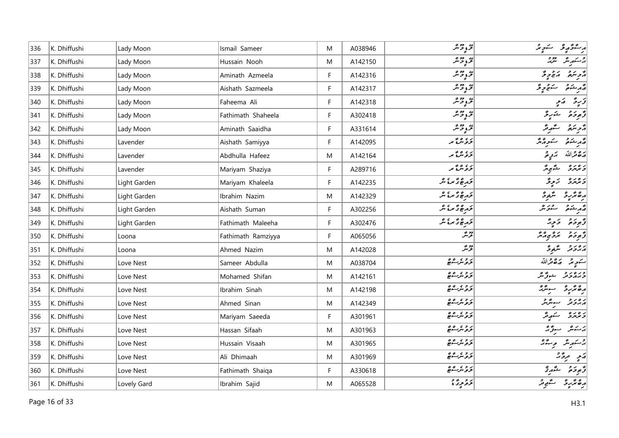| 336 | K. Dhiffushi | Lady Moon    | Ismail Sameer      | M  | A038946 | په دومر<br>  مخې په شر         |                                                                                                    |
|-----|--------------|--------------|--------------------|----|---------|--------------------------------|----------------------------------------------------------------------------------------------------|
| 337 | K. Dhiffushi | Lady Moon    | Hussain Nooh       | M  | A142150 | په دو مر<br>  مربح مر          |                                                                                                    |
| 338 | K. Dhiffushi | Lady Moon    | Aminath Azmeela    | F. | A142316 | ا در دو ه<br>م                 |                                                                                                    |
| 339 | K. Dhiffushi | Lady Moon    | Aishath Sazmeela   | F  | A142317 | ،، وو <sub>عر</sub>            | ة مرشوم<br>مدم شوم<br>سەنچ جەنخە                                                                   |
| 340 | K. Dhiffushi | Lady Moon    | Faheema Ali        | F  | A142318 | په دومر<br>  مربح مر           |                                                                                                    |
| 341 | K. Dhiffushi | Lady Moon    | Fathimath Shaheela | F  | A302418 | الروجير                        | $\frac{1}{2}$<br>$\frac{2}{3}$<br>$\frac{2}{3}$<br>$\frac{2}{3}$<br>$\frac{2}{3}$<br>ىشكەرىتى<br>ئ |
| 342 | K. Dhiffushi | Lady Moon    | Aminath Saaidha    | F  | A331614 | ا په دوه<br>د                  | أأرمني<br>ستهرمتر                                                                                  |
| 343 | K. Dhiffushi | Lavender     | Aishath Samiyya    | F  | A142095 | ىر ، ھ ، ئىر                   | وكرمشكم كالحرور                                                                                    |
| 344 | K. Dhiffushi | Lavender     | Abdhulla Hafeez    | M  | A142164 | ىر ، ە ، ئە<br>مۇھ             | پر ۱۵ ۱۵ پر موقع                                                                                   |
| 345 | K. Dhiffushi | Lavender     | Mariyam Shaziya    | F  | A289716 | ر ، ه ه<br>مره مره مر          | شَدَّمَ مِرَّ<br>ر ه بر ه<br><del>د</del> بربرگ                                                    |
| 346 | K. Dhiffushi | Light Garden | Mariyam Khaleela   | F. | A142235 | كخرم عج مرتج مثر               | ر ه ر ه<br>د بربرد<br>زَووٌ                                                                        |
| 347 | K. Dhiffushi | Light Garden | Ibrahim Nazim      | M  | A142329 | أقرم فأوسى مدني                | سَّنْجِرْ<br>ەرھەترىر <sup>ى</sup>                                                                 |
| 348 | K. Dhiffushi | Light Garden | Aishath Suman      | F  | A302256 | أخدره ومحياته                  | و مر شوه<br>مر<br>سەد بىر                                                                          |
| 349 | K. Dhiffushi | Light Garden | Fathimath Maleeha  | F  | A302476 | اير ه هو ځي چې شر<br>پ         | وٌمِ وَوَ أَوَ وَمَحِيثٌ                                                                           |
| 350 | K. Dhiffushi | Loona        | Fathimath Ramziyya | F  | A065056 | چونئر                          | توجدة بروبورة                                                                                      |
| 351 | K. Dhiffushi | Loona        | Ahmed Nazim        | M  | A142028 | فروشر                          | أرور والمتمنج والمستحدث                                                                            |
| 352 | K. Dhiffushi | Love Nest    | Sameer Abdulla     | M  | A038704 | ىر دې دە ھ                     | سَمَّحٍ مِمَّذَ مَدَّةَ مِمَّالِلَّهُ                                                              |
| 353 | K. Dhiffushi | Love Nest    | Mohamed Shifan     | M  | A142161 | ر و ، ره ه<br>مر <i>و</i> سرسو | ورەرو جوگىر                                                                                        |
| 354 | K. Dhiffushi | Love Nest    | Ibrahim Sinah      | M  | A142198 | ىر دې مەھ                      | ە ھەترىر <sup>ى</sup><br>سویٹرر                                                                    |
| 355 | K. Dhiffushi | Love Nest    | Ahmed Sinan        | M  | A142349 | ىر دې مەھ                      | أرور و سویٹریٹر                                                                                    |
| 356 | K. Dhiffushi | Love Nest    | Mariyam Saeeda     | F  | A301961 | ىر 3 يىر 2 ي                   | ر ه ر ه<br><del>ر</del> بربرو<br>سە پە ئە                                                          |
| 357 | K. Dhiffushi | Love Nest    | Hassan Sifaah      | M  | A301963 | ىر دې دە ھ                     | ىز سىر شىر ئەر                                                                                     |
| 358 | K. Dhiffushi | Love Nest    | Hussain Visaah     | M  | A301965 | ىر <i>دې دە</i> ھ              | يزحكم وجدي                                                                                         |
| 359 | K. Dhiffushi | Love Nest    | Ali Dhimaah        | M  | A301969 | ىر دې پەرە                     | ړې د دي.                                                                                           |
| 360 | K. Dhiffushi | Love Nest    | Fathimath Shaiqa   | F. | A330618 | ىر دې پەرە                     |                                                                                                    |
| 361 | K. Dhiffushi | Lovely Gard  | Ibrahim Sajid      | M  | A065528 | ځوڅونه                         | ەھ ئەر ئەھ سەھ بەر<br>مەھ ئەر ئەس سەھ بەر                                                          |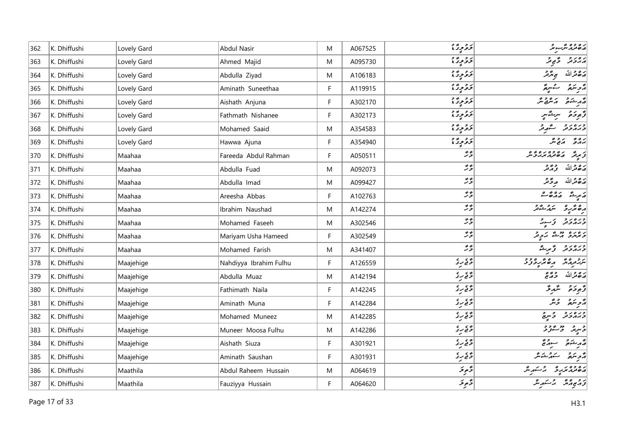| 362 | K. Dhiffushi | Lovely Gard | <b>Abdul Nasir</b>     | M           | A067525 | ر د پر د<br>خونږ د                                         | ره وه پر<br>پره تر پر سر پر                  |
|-----|--------------|-------------|------------------------|-------------|---------|------------------------------------------------------------|----------------------------------------------|
| 363 | K. Dhiffushi | Lovely Gard | Ahmed Majid            | M           | A095730 | ىر ئەرەپە<br>ئىرقى ئەرەپ                                   | وٌ قع قر<br>  پر بر چر                       |
| 364 | K. Dhiffushi | Lovely Gard | Abdulla Ziyad          | M           | A106183 | ر و په و<br>نور و د د                                      | <mark>برة قر</mark> الله<br>سم پڑ تر         |
| 365 | K. Dhiffushi | Lovely Gard | Aminath Suneethaa      | F           | A119915 | تزة ويدمج ؟                                                | سنسبغ<br>أرمز بنرو                           |
| 366 | K. Dhiffushi | Lovely Gard | Aishath Anjuna         | F           | A302170 | ر و په و<br>نوه نړۍ ن                                      | ىر ھەجە ئىگە<br>و مر شو د<br>مرم شو ه        |
| 367 | K. Dhiffushi | Lovely Gard | Fathmath Nishanee      | F.          | A302173 | ر و په و<br>نوه نړۍ ن                                      | و څو څه د<br>سريشگرسر                        |
| 368 | K. Dhiffushi | Lovely Gard | Mohamed Saaid          | M           | A354583 | ر و د و د<br>نور و د د                                     | و ر ه ر و<br>تر پر تر تر                     |
| 369 | K. Dhiffushi | Lovely Gard | Hawwa Ajuna            | F.          | A354940 | ر د پر د<br>نوه نړۍ ن                                      | برەپ پەق ش                                   |
| 370 | K. Dhiffushi | Maahaa      | Fareeda Abdul Rahman   | F           | A050511 | $\overset{\circ}{\mathcal{Z}}\overset{\circ}{\mathcal{Z}}$ | ره وه ره ده و.<br>پره تربر تر س<br>  تۇ موقر |
| 371 | K. Dhiffushi | Maahaa      | Abdulla Fuad           | M           | A092073 | $\mathcal{Z}^{\not\approx}_{\mathcal{Z}}$                  | ەھەتراللە<br>و د و<br>تو پر تعر              |
| 372 | K. Dhiffushi | Maahaa      | Abdulla Imad           | M           | A099427 | $\mathcal{Z}^{\not\approx}_{\mathcal{Z}}$                  | <mark>برء تر</mark> الله<br>د د د کر         |
| 373 | K. Dhiffushi | Maahaa      | Areesha Abbas          | $\mathsf F$ | A102763 | $\overset{\circ}{\mathcal{I}}\overset{\circ}{\mathcal{I}}$ | رەپچە<br>لەسپەت                              |
| 374 | K. Dhiffushi | Maahaa      | Ibrahim Naushad        | M           | A142274 | $\mathcal{I}^{\sharp}_{\mathcal{I}}$                       | رە ئرىر ئىم ئىگە                             |
| 375 | K. Dhiffushi | Maahaa      | Mohamed Faseeh         | M           | A302546 | $\mathcal{Z}^{\sharp}_{\mathcal{P}}$                       | ورەرو كەسىر                                  |
| 376 | K. Dhiffushi | Maahaa      | Mariyam Usha Hameed    | F           | A302549 | $\mathcal{Z}^{\not\approx}_{\mathcal{Z}}$                  | دەرە «ئەكەرچ                                 |
| 377 | K. Dhiffushi | Maahaa      | Mohamed Farish         | M           | A341407 | $\mathcal{Z}^{\not\approx}_{\mathcal{Z}}$                  | ورەر ئىرگ                                    |
| 378 | K. Dhiffushi | Maajehige   | Nahdiyya Ibrahim Fulhu | F.          | A126559 | ء ۽ مريح<br>ح                                              | ת כני הם יציב ביבי<br>ייתי בני הם יציב ביבי  |
| 379 | K. Dhiffushi | Maajehige   | Abdulla Muaz           | M           | A142194 | ی ء<br>ترقع سر تر                                          | بر <b>ە تر</b> اللە<br>و پر ہ<br>حرمہ ہے     |
| 380 | K. Dhiffushi | Maajehige   | Fathimath Naila        | F.          | A142245 | ه ده دره<br>ترقع مرد                                       | ۇ بوز ئە<br>سَمَد مَرَّ                      |
| 381 | K. Dhiffushi | Maajehige   | Aminath Muna           | F           | A142284 | ء ۽ ري<br>ح                                                | تر شر<br>أأرمز                               |
| 382 | K. Dhiffushi | Maajehige   | Mohamed Muneez         | M           | A142285 | ء ۽ ري<br>ح                                                | ورەرو وسر                                    |
| 383 | K. Dhiffushi | Maajehige   | Muneer Moosa Fulhu     | M           | A142286 | ی ء<br>قری <sub>مر</sub> د                                 | وسرپر وصور                                   |
| 384 | K. Dhiffushi | Maajehige   | Aishath Siuza          | F           | A301921 | ی ځ مر ځ<br>خ فع مر ځ                                      | وكرمشكو سورمج                                |
| 385 | K. Dhiffushi | Maajehige   | Aminath Saushan        | F           | A301931 | پرې <sub>دي</sub><br>د قع سر د                             | أو برو كور برو بر                            |
| 386 | K. Dhiffushi | Maathila    | Abdul Raheem Hussain   | M           | A064619 | څ حوځه                                                     | גם כם גם ביני הלי                            |
| 387 | K. Dhiffushi | Maathila    | Fauziyya Hussain       | F           | A064620 | قرموخر                                                     | زده وه د کشمه ش                              |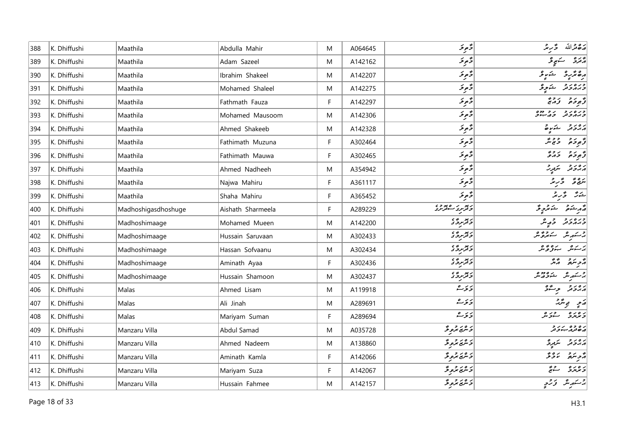| 388 | K. Dhiffushi | Maathila            | Abdulla Mahir     | M           | A064645 | ۇ ھ <sub>ۇ</sub> ئى                                       | برة قرالله<br>ۇرىز                                                         |
|-----|--------------|---------------------|-------------------|-------------|---------|-----------------------------------------------------------|----------------------------------------------------------------------------|
| 389 | K. Dhiffushi | Maathila            | Adam Sazeel       | M           | A142162 | ځوبځه                                                     | سەپچ<br>ء ر ه<br>مرگر                                                      |
| 390 | K. Dhiffushi | Maathila            | Ibrahim Shakeel   | M           | A142207 | قرموخه                                                    | ے کیا تھ<br>مشتر ہے<br>ەر ھەترىر <i>ۋ</i>                                  |
| 391 | K. Dhiffushi | Maathila            | Mohamed Shaleel   | M           | A142275 | و څخه مخه<br>م                                            | ورەرو شەرو                                                                 |
| 392 | K. Dhiffushi | Maathila            | Fathmath Fauza    | F           | A142297 | ر محمد بحر<br>المحمد محمد                                 | توجوحه زدر                                                                 |
| 393 | K. Dhiffushi | Maathila            | Mohamed Mausoom   | M           | A142306 | ۇ ھۇمۇ                                                    | و رە ر د<br>تر پر تر تر<br>ىر دە دە                                        |
| 394 | K. Dhiffushi | Maathila            | Ahmed Shakeeb     | M           | A142328 | ۇ <sub>م</sub> وخە                                        | أربروتر ينكوه                                                              |
| 395 | K. Dhiffushi | Maathila            | Fathimath Muzuna  | F           | A302464 | ۇ <sub>م</sub> وخە                                        | $\begin{array}{cc} \sqrt{2} & 2 & 2 \\ 2 & 2 & 2 \\ 0 & 0 & 0 \end{array}$ |
| 396 | K. Dhiffushi | Maathila            | Fathimath Mauwa   | F.          | A302465 | قرُّ هرِ مَرَ                                             | توجدة دورة                                                                 |
| 397 | K. Dhiffushi | Maathila            | Ahmed Nadheeh     | M           | A354942 | ځوبځه                                                     | رەرد سەرد                                                                  |
| 398 | K. Dhiffushi | Maathila            | Najwa Mahiru      | $\mathsf F$ | A361117 | قرمو تر                                                   | پره و                                                                      |
| 399 | K. Dhiffushi | Maathila            | Shaha Mahiru      | $\mathsf F$ | A365452 | قرموځه                                                    | لمذرق المحرريم                                                             |
| 400 | K. Dhiffushi | Madhoshigasdhoshuge | Aishath Sharmeela | F           | A289229 | ر پو ر د ه پو و د<br>ح <sup>ا</sup> فرمزی سنگرمزی         | ۇرىشى شىرى                                                                 |
| 401 | K. Dhiffushi | Madhoshimaage       | Mohamed Mueen     | M           | A142200 | ر پو <sub>رځ</sub> ي<br>و تر <sub>مر</sub> و <sub>ک</sub> | בגםגב בקייל                                                                |
| 402 | K. Dhiffushi | Madhoshimaage       | Hussain Saruvaan  | M           | A302433 | ر پو <sub>رځ</sub> ي<br>و تر بروگ                         | جر شهر معرض میکردید و به استفاده می                                        |
| 403 | K. Dhiffushi | Madhoshimaage       | Hassan Sofvaanu   | M           | A302434 | ر پو <sub>رځ</sub> په<br>د ترمرد د                        | برسك بنوه بيره                                                             |
| 404 | K. Dhiffushi | Madhoshimaage       | Aminath Ayaa      | F.          | A302436 | ر پو <sub>رځ</sub> ي<br>د ترمړنژ <sub>ک</sub>             | أروسره أراثه                                                               |
| 405 | K. Dhiffushi | Madhoshimaage       | Hussain Shamoon   | M           | A302437 | ر پو <sub>رځ</sub> ي<br>و تر <sub>مر</sub> و <sub>ک</sub> |                                                                            |
| 406 | K. Dhiffushi | Malas               | Ahmed Lisam       | M           | A119918 | ىزىر                                                      |                                                                            |
| 407 | K. Dhiffushi | Malas               | Ali Jinah         | M           | A289691 | 5 تر ره                                                   | أرشم ويترجم                                                                |
| 408 | K. Dhiffushi | Malas               | Mariyam Suman     | F           | A289694 | ىز ئە                                                     | ويوده<br>سەئەر بىر                                                         |
| 409 | K. Dhiffushi | Manzaru Villa       | Abdul Samad       | M           | A035728 | ئەندىئە ئىزەپە ئىگە                                       | ر ٥ ۶ ٥ ر ر ۶<br>پره تر پر سور تر                                          |
| 410 | K. Dhiffushi | Manzaru Villa       | Ahmed Nadeem      | M           | A138860 | ئەشقەتمرە قر                                              | أرور و سربرو                                                               |
| 411 | K. Dhiffushi | Manzaru Villa       | Aminath Kamla     | F.          | A142066 | ۇ ئىرىج ئىزەپە ئى                                         | أأزوبتره الادعى                                                            |
| 412 | K. Dhiffushi | Manzaru Villa       | Mariyam Suza      | $\mathsf F$ | A142067 | ىز شرىخ ئىزىرىگە                                          | ر ه ر ه<br>د بربر د<br>ستقيح                                               |
| 413 | K. Dhiffushi | Manzaru Villa       | Hussain Fahmee    | M           | A142157 | ۇ ئىرىج ئىرو ئى                                           | برستهر مثر تزرجي                                                           |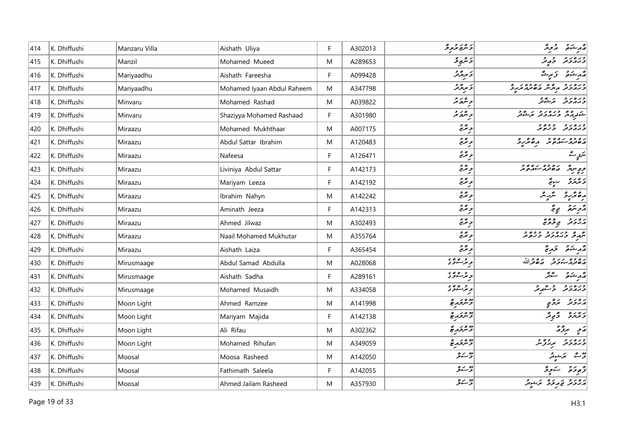| 414 | K. Dhiffushi | Manzaru Villa | Aishath Uliya              | F         | A302013 | ئەشرىم ئىر ئەگە            | أقهر شنعتى المرمر                                              |
|-----|--------------|---------------|----------------------------|-----------|---------|----------------------------|----------------------------------------------------------------|
| 415 | K. Dhiffushi | Manzil        | Mohamed Mueed              | M         | A289653 | ۇ ئىرى ۋ                   | وره دو و د                                                     |
| 416 | K. Dhiffushi | Mariyaadhu    | Aishath Fareesha           | F         | A099428 | 5 سر پژو                   | أقهر شكافح وكالمريشة                                           |
| 417 | K. Dhiffushi | Mariyaadhu    | Mohamed Iyaan Abdul Raheem | M         | A347798 | 5 سر پژو                   |                                                                |
| 418 | K. Dhiffushi | Minvaru       | Mohamed Rashad             | M         | A039822 | جرمثر جر                   | ورەرو بەشۇر                                                    |
| 419 | K. Dhiffushi | Minvaru       | Shaziyya Mohamed Rashaad   | F         | A301980 | جر مثر پر جر               |                                                                |
| 420 | K. Dhiffushi | Miraazu       | Mohamed Mukhthaar          | ${\sf M}$ | A007175 | حريميح                     | ور ور و و دو د<br>تربر مرکز کرد کر                             |
| 421 | K. Dhiffushi | Miraazu       | Abdul Sattar Ibrahim       | ${\sf M}$ | A120483 | حريميح                     | גם כם גם גיב כם בים                                            |
| 422 | K. Dhiffushi | Miraazu       | Nafeesa                    | F         | A126471 | حربمرج                     | سَروٍ مُتَهُ                                                   |
| 423 | K. Dhiffushi | Miraazu       | Liviniya Abdul Sattar      | F         | A142173 | حريمهم                     | ر ٥ ۶ ٥ ر ٥ ۶ و ۶<br>پره توپر سوړي پر<br>اوه سرگر<br><u>سق</u> |
| 424 | K. Dhiffushi | Miraazu       | Mariyam Leeza              | F         | A142192 | حربمدحج                    | ر ه بر ه<br><del>د</del> بربرگر<br>سنبوجج                      |
| 425 | K. Dhiffushi | Miraazu       | Ibrahim Nahyn              | M         | A142242 | حربترج                     | ە ھەترىرى<br>بر ھەترىرى<br>ىئرىپىتىر                           |
| 426 | K. Dhiffushi | Miraazu       | Aminath Jeeza              | F         | A142313 | حريمي                      | أأدمته ويحج                                                    |
| 427 | K. Dhiffushi | Miraazu       | Ahmed Jilwaz               | ${\sf M}$ | A302493 | یر پر ہ<br>مرسم            | أرور و و و و و                                                 |
| 428 | K. Dhiffushi | Miraazu       | Naail Mohamed Mukhutar     | ${\sf M}$ | A355764 | حريمهمج                    | شرو ورەرو وووو                                                 |
| 429 | K. Dhiffushi | Miraazu       | Aishath Laiza              | F         | A365454 | تر تر بر                   | أقهر يشتفى تخرمرتم                                             |
| 430 | K. Dhiffushi | Mirusmaage    | Abdul Samad Abdulla        | M         | A028068 | د بر ۱۵۵۵<br>د بر سود د    | ره وه بربر و مردوبهالله                                        |
| 431 | K. Dhiffushi | Mirusmaage    | Aishath Sadha              | F         | A289161 | ج بر شوی                   | ۇرىش <i>ەۋ س</i> ەتر                                           |
| 432 | K. Dhiffushi | Mirusmaage    | Mohamed Musaidh            | ${\sf M}$ | A334058 | د بر ۱۵ پر و<br>د بر سود د | ورەرو وگەتر                                                    |
| 433 | K. Dhiffushi | Moon Light    | Ahmed Ramzee               | M         | A141998 | لتشريخهم                   | د ۱۵ د ۱۵ د کالنې                                              |
| 434 | K. Dhiffushi | Moon Light    | Mariyam Majida             | F         | A142138 | لتشريخهم                   | دەرە ئەي ت                                                     |
| 435 | K. Dhiffushi | Moon Light    | Ali Rifau                  | ${\sf M}$ | A302362 | ده ه در ه<br>  د سرمرمع    | أە ئىق ئىمروگە                                                 |
| 436 | K. Dhiffushi | Moon Light    | Mohamed Rihufan            | ${\sf M}$ | A349059 | لتشعر وهجر                 |                                                                |
| 437 | K. Dhiffushi | Moosal        | Moosa Rasheed              | M         | A142050 | دويە يە                    | وو کے انگریشونڈر<br>حراکت انگریزیونڈر                          |
| 438 | K. Dhiffushi | Moosal        | Fathimath Saleela          | F         | A142055 | دويے و                     | وَجودَة سَوِيدً                                                |
| 439 | K. Dhiffushi | Moosal        | Ahmed Jailam Rasheed       | M         | A357930 | در مەھ<br>ئ                | أرور و دروو برشوتر                                             |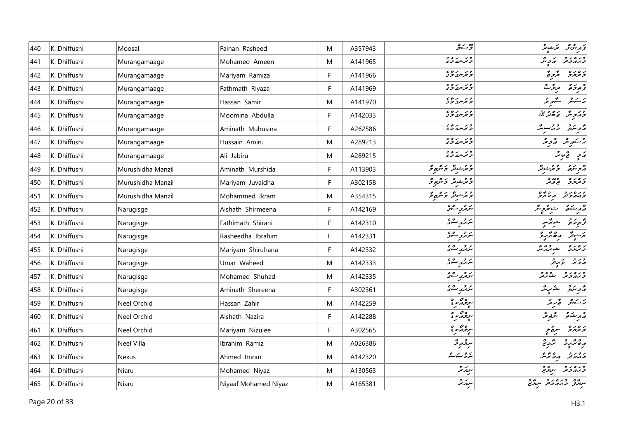| 440 | K. Dhiffushi | Moosal            | Fainan Rasheed       | M  | A357943 | دد پر ه                             | قەر ئىگە ئىگە ئىشىدىگە                                                                                                                                                                                                                                                                                                                                                                                                                                                         |
|-----|--------------|-------------------|----------------------|----|---------|-------------------------------------|--------------------------------------------------------------------------------------------------------------------------------------------------------------------------------------------------------------------------------------------------------------------------------------------------------------------------------------------------------------------------------------------------------------------------------------------------------------------------------|
| 441 | K. Dhiffushi | Murangamaage      | Mohamed Ameen        | M  | A141965 | و ر ر ر د د<br><del>ر</del> برس ژ د | و ر ه ر د<br>تر پروتر                                                                                                                                                                                                                                                                                                                                                                                                                                                          |
| 442 | K. Dhiffushi | Murangamaage      | Mariyam Ramiza       | F. | A141966 | د بر بر د و ،<br>تر بر بیر تر د     | ر ه ر ه<br><del>ر</del> بربرگ<br>بۇرىج                                                                                                                                                                                                                                                                                                                                                                                                                                         |
| 443 | K. Dhiffushi | Murangamaage      | Fathmath Riyaza      | F. | A141969 | و ر بر د د د<br>و برس و د           | بردشته<br>ۇ بو ئەم                                                                                                                                                                                                                                                                                                                                                                                                                                                             |
| 444 | K. Dhiffushi | Murangamaage      | Hassan Samir         | M  | A141970 | و رکھنے دی۔<br>مرکس کر دی           | ىر ئەش سەھ بىر                                                                                                                                                                                                                                                                                                                                                                                                                                                                 |
| 445 | K. Dhiffushi | Murangamaage      | Moomina Abdulla      | F  | A142033 | د بر بر د و ،<br>تر بر بیر تر د     | ح محرجة مكافرالله                                                                                                                                                                                                                                                                                                                                                                                                                                                              |
| 446 | K. Dhiffushi | Murangamaage      | Aminath Muhusina     | F  | A262586 | د در بر د و ،<br>تر تر سر کر د      | أأرجع وبرستر                                                                                                                                                                                                                                                                                                                                                                                                                                                                   |
| 447 | K. Dhiffushi | Murangamaage      | Hussain Amiru        | M  | A289213 | و بر سر پر پر<br>تر تر تر تر تر     | برسكر شرائح برائح                                                                                                                                                                                                                                                                                                                                                                                                                                                              |
| 448 | K. Dhiffushi | Murangamaage      | Ali Jabiru           | M  | A289215 | و بر سر پر پر<br>تر سر پر تر ی      | $\begin{array}{cc} \mathbf{1}_{\mathbf{1}_{\mathbf{1}}} & \mathbf{1}_{\mathbf{1}_{\mathbf{1}}} \\ \mathbf{1}_{\mathbf{1}_{\mathbf{1}}} & \mathbf{1}_{\mathbf{1}_{\mathbf{1}}} \\ \mathbf{1}_{\mathbf{1}_{\mathbf{1}}} & \mathbf{1}_{\mathbf{1}_{\mathbf{1}}} \\ \mathbf{1}_{\mathbf{1}_{\mathbf{1}}} & \mathbf{1}_{\mathbf{1}_{\mathbf{1}}} \\ \mathbf{1}_{\mathbf{1}_{\mathbf{1}}} & \mathbf{1}_{\mathbf{1}_{\mathbf{1}}} \\ \mathbf{1}_{\mathbf{1}_{\mathbf{1}}} & \mathbf{$ |
| 449 | K. Dhiffushi | Murushidha Manzil | Aminath Murshida     | F  | A113903 | 3 پژھونڈ کرنگر پول                  | و څخه سره<br>7 تر شدوگر<br>تر کمر شدوگر                                                                                                                                                                                                                                                                                                                                                                                                                                        |
| 450 | K. Dhiffushi | Murushidha Manzil | Mariyam Juvaidha     | F. | A302158 | 3 پژھونڈ کرنڈ پر قر                 | ر ه ر ه<br>تر <del>ب</del> ر بر<br>و ن پر<br>بح حرکر                                                                                                                                                                                                                                                                                                                                                                                                                           |
| 451 | K. Dhiffushi | Murushidha Manzil | Mohammed Ikram       | M  | A354315 | ویرشونگر کانگریوی                   | ەر ئەجرى<br>و ره ر د<br><i>و بر</i> د تر                                                                                                                                                                                                                                                                                                                                                                                                                                       |
| 452 | K. Dhiffushi | Narugisge         | Aishath Shirmeena    | F  | A142169 | ىئر <i>پرېمو س</i> ىمى<br>س         | وكرمشكم والمراجية                                                                                                                                                                                                                                                                                                                                                                                                                                                              |
| 453 | K. Dhiffushi | Narugisge         | Fathimath Shirani    | F  | A142310 | يترتزر مشوته                        | ژوځو موړمر                                                                                                                                                                                                                                                                                                                                                                                                                                                                     |
| 454 | K. Dhiffushi | Narugisge         | Rasheedha Ibrahim    | F  | A142331 | ىئر <i>پرېمو س</i> ىمۇ              | بمشبق مقترع                                                                                                                                                                                                                                                                                                                                                                                                                                                                    |
| 455 | K. Dhiffushi | Narugisge         | Mariyam Shiruhana    | F  | A142332 | ىئر <i>پرېمبر س</i> ېرى<br>سر       | ر ه بر ه<br>د بربرگ<br>شە <i>بىر بى</i> گە                                                                                                                                                                                                                                                                                                                                                                                                                                     |
| 456 | K. Dhiffushi | Narugisge         | Umar Waheed          | M  | A142333 | ىئر <i>پرېمو س</i> ىمى              | وزو ورقر                                                                                                                                                                                                                                                                                                                                                                                                                                                                       |
| 457 | K. Dhiffushi | Narugisge         | Mohamed Shuhad       | M  | A142335 | يترتزيه سفوته                       | و ره ر د<br><i>د بر</i> پر تر<br>ىشۇرگىر                                                                                                                                                                                                                                                                                                                                                                                                                                       |
| 458 | K. Dhiffushi | Narugisge         | Aminath Shereena     | F  | A302361 | يترتزيه سفوع                        | لأحر يتمدح<br>شقە بىرىگر                                                                                                                                                                                                                                                                                                                                                                                                                                                       |
| 459 | K. Dhiffushi | Neel Orchid       | Hassan Zahir         | M  | A142259 | ببروژمره                            | يەسەھە ئەرىر                                                                                                                                                                                                                                                                                                                                                                                                                                                                   |
| 460 | K. Dhiffushi | Neel Orchid       | Aishath Nazira       | F  | A142288 | ىبردۇرىر ؟                          | و مرکز در<br>مرکز مشور<br>متَرە ئىر                                                                                                                                                                                                                                                                                                                                                                                                                                            |
| 461 | K. Dhiffushi | Neel Orchid       | Mariyam Nizulee      | F  | A302565 | يبروهم وهم                          | ر ه ر ه<br>تر بر بر<br>سرچ پو                                                                                                                                                                                                                                                                                                                                                                                                                                                  |
| 462 | K. Dhiffushi | <b>Neel Villa</b> | Ibrahim Ramiz        | M  | A026386 | سرۋە ئە                             | رە ئۈرۈ<br>برٌحرج                                                                                                                                                                                                                                                                                                                                                                                                                                                              |
| 463 | K. Dhiffushi | <b>Nexus</b>      | Ahmed Imran          | M  | A142320 | ي ه په که ک                         | رەرد ھۆتمەر                                                                                                                                                                                                                                                                                                                                                                                                                                                                    |
| 464 | K. Dhiffushi | Niaru             | Mohamed Niyaz        | M  | A130563 | سربر                                | ورور و سرگرم                                                                                                                                                                                                                                                                                                                                                                                                                                                                   |
| 465 | K. Dhiffushi | Niaru             | Niyaaf Mohamed Niyaz | M  | A165381 | سرير                                | א בי כנסנד מתא                                                                                                                                                                                                                                                                                                                                                                                                                                                                 |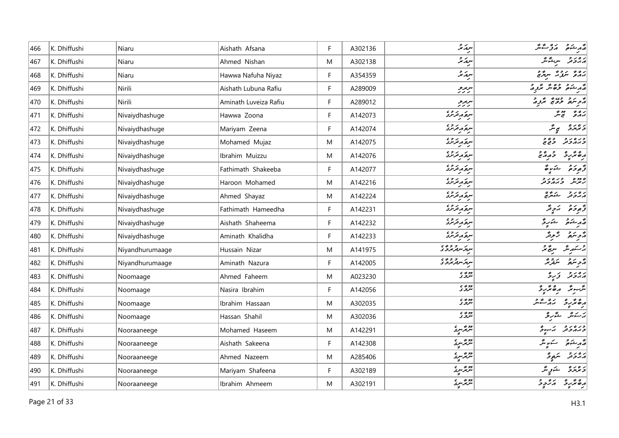| 466 | K. Dhiffushi | Niaru           | Aishath Afsana        | F         | A302136 | سرير                                | ۇرىشى مۇشق                                     |
|-----|--------------|-----------------|-----------------------|-----------|---------|-------------------------------------|------------------------------------------------|
| 467 | K. Dhiffushi | Niaru           | Ahmed Nishan          | M         | A302138 | سرير                                | رەرد سىشەر                                     |
| 468 | K. Dhiffushi | Niaru           | Hawwa Nafuha Niyaz    | F         | A354359 | سدنه                                | روء شرور سردو                                  |
| 469 | K. Dhiffushi | Nirili          | Aishath Lubuna Rafiu  | F         | A289009 | سربر و                              | و در ده ده و د و د                             |
| 470 | K. Dhiffushi | Nirili          | Aminath Luveiza Rafiu | F         | A289012 | سربر بو<br>ر                        | י נדי בעיד יותר                                |
| 471 | K. Dhiffushi | Nivaiydhashuge  | Hawwa Zoona           | F         | A142073 | سرە بەر دە                          | ره په دور                                      |
| 472 | K. Dhiffushi | Nivaiydhashuge  | Mariyam Zeena         | F         | A142074 | سرعه وترتره                         | د بر پر شر                                     |
| 473 | K. Dhiffushi | Nivaiydhashuge  | Mohamed Mujaz         | ${\sf M}$ | A142075 | سرحه وترتره                         | و دی م<br>تر قع م<br>و ر ه ر د<br>تر پر ژ تر   |
| 474 | K. Dhiffushi | Nivaiydhashuge  | Ibrahim Muizzu        | ${\sf M}$ | A142076 | سرە ئەر تەر                         | و مره د<br>مرمون<br>ە ھەترىرى<br>برھەترىرى     |
| 475 | K. Dhiffushi | Nivaiydhashuge  | Fathimath Shakeeba    | F         | A142077 | سرە ئەرىرد                          | و څې پر د<br>شەرە ئە                           |
| 476 | K. Dhiffushi | Nivaiydhashuge  | Haroon Mohamed        | M         | A142216 | سره د تر د ،<br><u>مر</u>           | یو دو ه<br>رنبو مثر<br>و ر ه ر د<br>تربر تر تر |
| 477 | K. Dhiffushi | Nivaiydhashuge  | Ahmed Shayaz          | ${\sf M}$ | A142224 | سرعه وترتره                         | شەھرىم<br>ەرەر د                               |
| 478 | K. Dhiffushi | Nivaiydhashuge  | Fathimath Hameedha    | F         | A142231 | سرە ئەرىر دې                        | توافي فالمحمد والمحمدة المحمدة المتعدد         |
| 479 | K. Dhiffushi | Nivaiydhashuge  | Aishath Shaheema      | F         | A142232 | سرعه وترتره                         | شەر پەر<br>و مر د کر د<br>مر                   |
| 480 | K. Dhiffushi | Nivaiydhashuge  | Aminath Khalidha      | F         | A142233 | سرە مەر تەر                         | أزويته والمعرفر                                |
| 481 | K. Dhiffushi | Niyandhurumaage | Hussain Nizar         | M         | A141975 | سرکر و و د ه                        | سرچ تر<br>ج <sub>ە</sub> سىئەر بىر             |
| 482 | K. Dhiffushi | Niyandhurumaage | Aminath Nazura        | F         | A142005 | سر کر سر بر دی.<br>سر کر سر تر کر د | ىر 3 يۈ<br>سۈنىرىتى<br>أثرجه تنبهي             |
| 483 | K. Dhiffushi | Noomaage        | Ahmed Faheem          | M         | A023230 | وو پر پر<br>سرچ ی                   | دەر ئەرۋ                                       |
| 484 | K. Dhiffushi | Noomaage        | Nasira Ibrahim        | F         | A142056 | وو پر پر<br>سرچ پ                   | ەھ ئۈرۈ<br>مثرسه بحر                           |
| 485 | K. Dhiffushi | Noomaage        | Ibrahim Hassaan       | M         | A302035 | وو پر پر<br>سرچ پ                   | برە ئەشر<br>ە ھەتئەر 2<br>برھ تئرىر 2          |
| 486 | K. Dhiffushi | Noomaage        | Hassan Shahil         | ${\sf M}$ | A302036 | وو پر پر<br>سرچ پر                  | ىزىكەش ئىقارقى                                 |
| 487 | K. Dhiffushi | Nooraaneege     | Mohamed Haseem        | ${\sf M}$ | A142291 | دوري په په<br>سرچرسي                | ورەرو پەيدۇ                                    |
| 488 | K. Dhiffushi | Nooraaneege     | Aishath Sakeena       | F         | A142308 | دو په دې<br>سربرسري                 | پ <sup>و</sup> پر شتمو<br>م                    |
| 489 | K. Dhiffushi | Nooraaneege     | Ahmed Nazeem          | ${\sf M}$ | A285406 | دو پر<br>سربر سرپر                  | پروترو<br>سَمَعٍو                              |
| 490 | K. Dhiffushi | Nooraaneege     | Mariyam Shafeena      | F         | A302189 | دور<br>سربر سرپر                    | ر ه ر ه<br><del>و</del> بربرو                  |
| 491 | K. Dhiffushi | Nooraaneege     | Ibrahim Ahmeem        | ${\sf M}$ | A302191 | دوري په په<br>سرچرسي                | مەئۇرو مەددە                                   |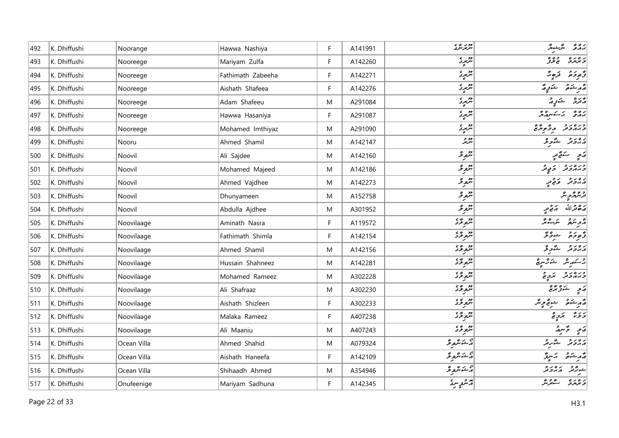| 492 | K. Dhiffushi | Noorange    | Hawwa Nashiya     | $\mathsf F$ | A141991 | دد ر ه ،<br>سرپرسر            | سَّرْبِسُهُ وَكُرُّ<br>ر ه پ<br>بر د څ                                                                                                                                                                                                                              |
|-----|--------------|-------------|-------------------|-------------|---------|-------------------------------|---------------------------------------------------------------------------------------------------------------------------------------------------------------------------------------------------------------------------------------------------------------------|
| 493 | K. Dhiffushi | Nooreege    | Mariyam Zulfa     | $\mathsf F$ | A142260 | دو<br>مترسمي <sup>ى</sup>     | وە پە<br>ئ<br>ر ه ر ه<br><del>ر</del> بربر ژ                                                                                                                                                                                                                        |
| 494 | K. Dhiffushi | Nooreege    | Fathimath Zabeeha | F           | A142271 | دد<br>مترسری                  | وحجوحهم<br>نرچ پر                                                                                                                                                                                                                                                   |
| 495 | K. Dhiffushi | Nooreege    | Aishath Shafeea   | F           | A142276 | دد<br>مترسری                  | ة دينتم<br>شتودگر                                                                                                                                                                                                                                                   |
| 496 | K. Dhiffushi | Nooreege    | Adam Shafeeu      | M           | A291084 | دد<br>مترسری                  | په ره<br>د ترو<br>شَوَرٍ رُ                                                                                                                                                                                                                                         |
| 497 | K. Dhiffushi | Nooreege    | Hawwa Hasaniya    | $\mathsf F$ | A291087 | دو<br>مترسمي <sup>ى</sup>     | بر کے سرور شر<br>ر ه و<br>پرکار                                                                                                                                                                                                                                     |
| 498 | K. Dhiffushi | Nooreege    | Mohamed Imthiyaz  | M           | A291090 | دد<br>مترسری                  | و ر ه ر و<br>تر پر ژ تر<br>بروجوزمج                                                                                                                                                                                                                                 |
| 499 | K. Dhiffushi | Nooru       | Ahmed Shamil      | M           | A142147 | دد د<br>سربر                  | دەرە ئەدبى                                                                                                                                                                                                                                                          |
| 500 | K. Dhiffushi | Noovil      | Ali Sajdee        | M           | A142160 | لتروعه                        | ړنو کوي پ                                                                                                                                                                                                                                                           |
| 501 | K. Dhiffushi | Noovil      | Mohamed Majeed    | M           | A142186 | يتروعه                        | ورەرو كەلمى ئا                                                                                                                                                                                                                                                      |
| 502 | K. Dhiffushi | Noovil      | Ahmed Vajdhee     | M           | A142273 | لتروعه                        | برەر در دېر                                                                                                                                                                                                                                                         |
| 503 | K. Dhiffushi | Noovil      | Dhunyameen        | M           | A152758 | لترعر فحر                     | و هېڅو پر<br>مرمر <sub>و</sub> پر                                                                                                                                                                                                                                   |
| 504 | K. Dhiffushi | Noovil      | Abdulla Ajdhee    | M           | A301952 | يتر <sub>عر</sub> و           | برة قرالله بروير                                                                                                                                                                                                                                                    |
| 505 | K. Dhiffushi | Noovilaage  | Aminath Nasra     | $\mathsf F$ | A119572 | دد<br>متر <sub>جو</sub> بحری  | أأدمره مراء                                                                                                                                                                                                                                                         |
| 506 | K. Dhiffushi | Noovilaage  | Fathimath Shimla  | F           | A142154 | دد<br>متر <sub>کفر</sub> تخری | ترجوخا مشوقا فرائح                                                                                                                                                                                                                                                  |
| 507 | K. Dhiffushi | Noovilaage  | Ahmed Shamil      | M           | A142156 | دو په په<br>سرچ د             | رەرو شەرى                                                                                                                                                                                                                                                           |
| 508 | K. Dhiffushi | Noovilaage  | Hussain Shahneez  | M           | A142281 | دد<br>متر <sub>جو</sub> بحری  | چرىكىرىگە كەنگە ئېرىم                                                                                                                                                                                                                                               |
| 509 | K. Dhiffushi | Noovilaage  | Mohamed Rameez    | M           | A302228 | دد<br>متره پوځو               |                                                                                                                                                                                                                                                                     |
| 510 | K. Dhiffushi | Noovilaage  | Ali Shafraaz      | M           | A302230 | دد<br>متر <sub>جو</sub> بحری  | ارسم مشروعين<br>المسيح مسيح                                                                                                                                                                                                                                         |
| 511 | K. Dhiffushi | Noovilaage  | Aishath Shizleen  | F           | A302233 | دد<br>مترجو پخه               | و د کرد د کار د کار د کار د کار د کار د کار د کار د کار د کار د کار د کار د کار د کار د کار د کار د کار د کار<br>د کار د کار د کار د کار د کار د کار د کار د کار د کار د کار د کار د کار د کار د کار د کار د کار د کار د کار د<br><sub>شو</sub> چ پ <sub>و</sub> پر |
| 512 | K. Dhiffushi | Noovilaage  | Malaka Rameez     | F           | A407238 | دد<br>متر <sub>جو م</sub> حرى | $\frac{2}{\sqrt{2}}$<br>بترجيح                                                                                                                                                                                                                                      |
| 513 | K. Dhiffushi | Noovilaage  | Ali Maaniu        | M           | A407243 | دد<br>شرع څرن                 | $\frac{1}{2} \frac{1}{2}$                                                                                                                                                                                                                                           |
| 514 | K. Dhiffushi | Ocean Villa | Ahmed Shahid      | M           | A079324 | ە ئەيەتىرىدىگە<br>م           | پروژبر<br>ڪ مر <i>و</i>                                                                                                                                                                                                                                             |
| 515 | K. Dhiffushi | Ocean Villa | Aishath Haneefa   | F           | A142109 | ە ئەنە ئى <sub>رىم</sub> ۇ    | مەرشىق ئاس                                                                                                                                                                                                                                                          |
| 516 | K. Dhiffushi | Ocean Villa | Shihaadh Ahmed    | M           | A354946 | ە ئەنە ئى <sub>رىم</sub> ۇ    | أحورته أيره راح                                                                                                                                                                                                                                                     |
| 517 | K. Dhiffushi | Onufeenige  | Mariyam Sadhuna   | F           | A142345 | لتريز ويبرند                  | ر ہ ر ہ م و ر<br>تح <i>می بر</i> جمعہ سکور سر                                                                                                                                                                                                                       |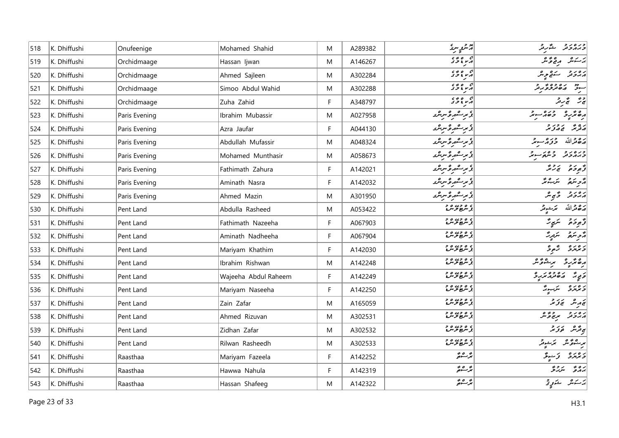| 518 | K. Dhiffushi | Onufeenige    | Mohamed Shahid       | M  | A289382 | بر م <sub>شرقه سرء</sub> َ       | ورەرو شەرىر                                      |
|-----|--------------|---------------|----------------------|----|---------|----------------------------------|--------------------------------------------------|
| 519 | K. Dhiffushi | Orchidmaage   | Hassan ljwan         | M  | A146267 |                                  | برے مردم دی                                      |
| 520 | K. Dhiffushi | Orchidmaage   | Ahmed Sajleen        | M  | A302284 |                                  | رەرد سور                                         |
| 521 | K. Dhiffushi | Orchidmaage   | Simoo Abdul Wahid    | M  | A302288 | 55249                            | - 2020 مرحمد و 2<br>سرح المائ المحرم برامر<br>مر |
| 522 | K. Dhiffushi | Orchidmaage   | Zuha Zahid           | F  | A348797 | ه و و و و<br>مربع <del>و</del> و | $\frac{2}{3}\frac{2}{5}$ $\frac{2}{5}$           |
| 523 | K. Dhiffushi | Paris Evening | Ibrahim Mubassir     | M  | A027958 | ۇ برىشور ۋىبرىشى                 | הפתקב בסגית                                      |
| 524 | K. Dhiffushi | Paris Evening | Azra Jaufar          | F. | A044130 | ۇ برىشور ۋىبرىدى                 | ره پر در د<br>دندند نے دبی                       |
| 525 | K. Dhiffushi | Paris Evening | Abdullah Mufassir    | M  | A048324 | ۇ برىشەر ۋىبرىشمە                | رە داللە دىرە بەر                                |
| 526 | K. Dhiffushi | Paris Evening | Mohamed Munthasir    | M  | A058673 | ۇ برىشەر ۋىبرىكىمە               | כנסנכ כסנה<br>במחכת כיתם-יות                     |
| 527 | K. Dhiffushi | Paris Evening | Fathimath Zahura     | F  | A142021 | انزىر مەمرە س <sub>ى</sub> شمە   | وٌمِوَدَةٌ بِيَارَ يُدْ                          |
| 528 | K. Dhiffushi | Paris Evening | Aminath Nasra        | F. | A142032 | ۇ برىشەر ۋىبرىشمە                | أأوسكاه الكرام ومحمر                             |
| 529 | K. Dhiffushi | Paris Evening | Ahmed Mazin          | M  | A301950 | ۇ برىشەر ۋىبرىشە                 | رەر ئەتمى ئى                                     |
| 530 | K. Dhiffushi | Pent Land     | Abdulla Rasheed      | M  | A053422 | ه و وړه و د<br>بر سرچ نو سرچ     | ەھىراللە<br>كرشوقر                               |
| 531 | K. Dhiffushi | Pent Land     | Fathimath Nazeeha    | F  | A067903 | ی و دی و د<br>بر سرچ پر سرچ      | تزود منبي                                        |
| 532 | K. Dhiffushi | Pent Land     | Aminath Nadheeha     | F  | A067904 | ه و وړه و د<br>بر سرچ تر س       | أأدخر المتعرجة                                   |
| 533 | K. Dhiffushi | Pent Land     | Mariyam Khathim      | F  | A142030 | ه و وړه و د<br>بر سرچ پر سرچ     | ر ه ر ه<br>تر بر بر<br>ر گھو ئو                  |
| 534 | K. Dhiffushi | Pent Land     | Ibrahim Rishwan      | M  | A142248 | ه و وړه و د<br>بر سرچ تر س       | رە ئەر ئەس ئەر                                   |
| 535 | K. Dhiffushi | Pent Land     | Wajeeha Abdul Raheem | F. | A142249 | ه و وړه و د<br>بر سرچ پر سرچ     | وي په ماه ده کرد و                               |
| 536 | K. Dhiffushi | Pent Land     | Mariyam Naseeha      | F. | A142250 | ه و وړه و د<br>بر سرچ نو سرچ     | ر ه ر ه<br><del>و</del> بربرو<br>ىترىب پر        |
| 537 | K. Dhiffushi | Pent Land     | Zain Zafar           | M  | A165059 | ه و وړه و د<br>بر سرچ نو سرچ     | ىم بىر ئىم ئەيم                                  |
| 538 | K. Dhiffushi | Pent Land     | Ahmed Rizuvan        | M  | A302531 | ه ووړه و د<br>بر سرچ پر س        | دەرو بروۋە                                       |
| 539 | K. Dhiffushi | Pent Land     | Zidhan Zafar         | M  | A302532 | ه و وړه و د<br>بر سرچ پر سرچ     | ىپوترىش ئوزىر                                    |
| 540 | K. Dhiffushi | Pent Land     | Rilwan Rasheedh      | M  | A302533 | ه ووړه وو<br>بر سرچ نر سر        | أبر شوقر مر المرسوفر                             |
| 541 | K. Dhiffushi | Raasthaa      | Mariyam Fazeela      | F. | A142252 | پر مر<br>مرسوم                   | دەرە تەنبەتى                                     |
| 542 | K. Dhiffushi | Raasthaa      | Hawwa Nahula         | F. | A142319 | پڙ هءِ                           | رەپ ئەردى                                        |
| 543 | K. Dhiffushi | Raasthaa      | Hassan Shafeeg       | M  | A142322 | پر ٥ پر<br>مرسوم                 | ىز سەش ئىقار ق                                   |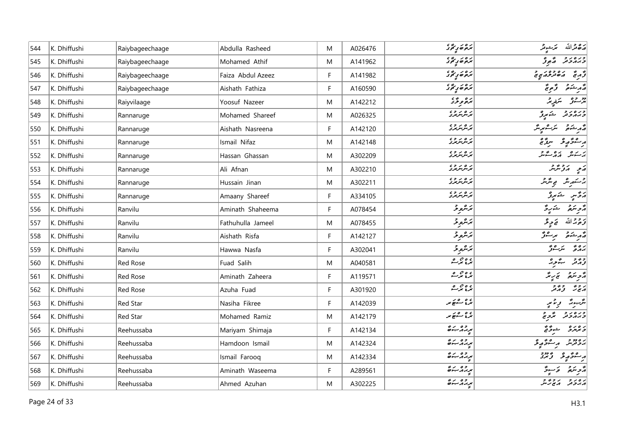| 544 | K. Dhiffushi | Raiybageechaage | Abdulla Rasheed   | M         | A026476 | <br>  <del>ت</del> ره قوي گوي                                       | رەقراللە كمەسىر                                |
|-----|--------------|-----------------|-------------------|-----------|---------|---------------------------------------------------------------------|------------------------------------------------|
| 545 | K. Dhiffushi | Raiybageechaage | Mohamed Athif     | M         | A141962 | بره د بر پر پر                                                      | وره رو و ه.<br>د <i>پر چرو</i> گر              |
| 546 | K. Dhiffushi | Raiybageechaage | Faiza Abdul Azeez | F.        | A141982 | پره د په په په<br>  پره ده <sub>په پ</sub> ه په                     |                                                |
| 547 | K. Dhiffushi | Raiybageechaage | Aishath Fathiza   | F.        | A160590 | ره د په ده د<br>مرکزه کړه کړ                                        | ترٌموجٌ<br>پ <sup>و</sup> پر مشتر د            |
| 548 | K. Dhiffushi | Raiyvilaage     | Yoosuf Nazeer     | M         | A142212 | ر ه<br>برگوموڅر                                                     | در ده سکنږمگ                                   |
| 549 | K. Dhiffushi | Rannaruge       | Mohamed Shareef   | M         | A026325 | ر ہ ر د ،<br>بر مرمربری                                             | ورەرو شەرو                                     |
| 550 | K. Dhiffushi | Rannaruge       | Aishath Nasreena  | F         | A142120 | ر ہ ر د ،<br>برس سربری                                              | و ديدو سر شمېر شر                              |
| 551 | K. Dhiffushi | Rannaruge       | Ismail Nifaz      | M         | A142148 | ر ہ ر د ،<br>برس سربری                                              | وكروم سروم                                     |
| 552 | K. Dhiffushi | Rannaruge       | Hassan Ghassan    | ${\sf M}$ | A302209 | ر ہ ر د ،<br>بر مرمربری                                             | برسك المركاه المحمد                            |
| 553 | K. Dhiffushi | Rannaruge       | Ali Afnan         | M         | A302210 | ر ہ ر د ،<br>برىرىترىرى                                             | أەير أرۇشرىر                                   |
| 554 | K. Dhiffushi | Rannaruge       | Hussain Jinan     | M         | A302211 | ر ہ ر د ،<br>بر مرمربری                                             | برسكريش ويتريثر                                |
| 555 | K. Dhiffushi | Rannaruge       | Amaany Shareef    | F         | A334105 | ر ہ ر د ،<br>برس سربری                                              | ے کھیے تو تھ<br>من<br>ېر ځمېنې<br>په           |
| 556 | K. Dhiffushi | Ranvilu         | Aminath Shaheema  | F         | A078454 | برىثرە قر                                                           | ے کے رگے<br>أرمز                               |
| 557 | K. Dhiffushi | Ranvilu         | Fathuhulla Jameel | M         | A078455 | برمرموخه                                                            | وحرالله<br>تح تر بحر                           |
| 558 | K. Dhiffushi | Ranvilu         | Aishath Risfa     | F         | A142127 | برمروقر                                                             | أقهر يشكوهم المحرج وتحريج                      |
| 559 | K. Dhiffushi | Ranvilu         | Hawwa Nasfa       | F.        | A302041 | برمروخه                                                             | رەپ سەرەپچ                                     |
| 560 | K. Dhiffushi | Red Rose        | Fuad Salih        | M         | A040581 | <sup>ي ه ج</sup> ې شه                                               | ووو چور                                        |
| 561 | K. Dhiffushi | <b>Red Rose</b> | Aminath Zaheera   | F         | A119571 | <sup>ی ہ م</sup> ی ہے                                               | أأدجن أتمريم                                   |
| 562 | K. Dhiffushi | Red Rose        | Azuha Fuad        | F         | A301920 | ې <i>ده چې</i> ه                                                    | ر و ده و و در و<br>منح بر المحر و مرکز         |
| 563 | K. Dhiffushi | <b>Red Star</b> | Nasiha Fikree     | F         | A142039 | ی ه <u>ه ه</u> ند                                                   | متزسبه يح<br>ورثمي                             |
| 564 | K. Dhiffushi | Red Star        | Mohamed Ramiz     | M         | A142179 | ى ھ ھەيجە بىر                                                       | و رە ر د<br><i>د بە</i> پەر<br>پر د م<br>مرد م |
| 565 | K. Dhiffushi | Reehussaba      | Mariyam Shimaja   | F         | A142134 | $\overline{\begin{array}{c} \frac{2}{3} & 0 \\ 0 & -1 \end{array}}$ | رشونج تح<br>ر ه ر ه<br>د بربرگ                 |
| 566 | K. Dhiffushi | Reehussaba      | Hamdoon Ismail    | M         | A142324 | لبروه برة                                                           | גיינית <sub>ת</sub> שת <sub>מ</sub> ית         |
| 567 | K. Dhiffushi | Reehussaba      | Ismail Farooq     | M         | A142334 | بربر وه بره                                                         | رەم ۋە ئەدە                                    |
| 568 | K. Dhiffushi | Reehussaba      | Aminath Waseema   | F         | A289561 | ىر 22 سەڭ                                                           | أأروبتهم وكسوشح                                |
| 569 | K. Dhiffushi | Reehussaba      | Ahmed Azuhan      | M         | A302225 | ىر 22 مەكتە<br>ئ                                                    | גם גביבה.<br>הגבע הבלית                        |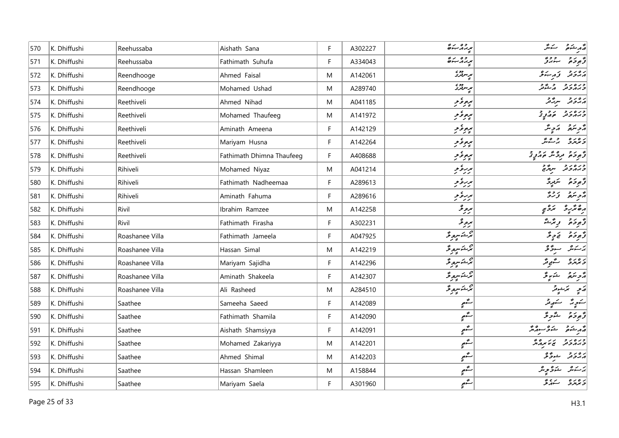| 570 | K. Dhiffushi | Reehussaba      | Aishath Sana              | $\mathsf F$ | A302227 | ابر ده به ده                   | مەم شىم كەنتىر<br>مەم شىم كەنتىر                    |
|-----|--------------|-----------------|---------------------------|-------------|---------|--------------------------------|-----------------------------------------------------|
| 571 | K. Dhiffushi | Reehussaba      | Fathimath Suhufa          | F           | A334043 | ىر بر در بر پر                 | و دور دور                                           |
| 572 | K. Dhiffushi | Reendhooge      | Ahmed Faisal              | M           | A142061 | ا پر سرچون <sub>ه</sub>        | برەرو زېربىر                                        |
| 573 | K. Dhiffushi | Reendhooge      | Mohamed Ushad             | M           | A289740 | سر سرچونچ<br>  سر سرچری        | وره رو و دور<br>وبردونر برشگ                        |
| 574 | K. Dhiffushi | Reethiveli      | Ahmed Nihad               | M           | A041185 | بره و گر<br>په مر              | رەر ئەس <i>رى</i> تى                                |
| 575 | K. Dhiffushi | Reethiveli      | Mohamed Thaufeeg          | M           | A141972 | ېره د کو<br>په ر               | כנסנכ נכנב                                          |
| 576 | K. Dhiffushi | Reethiveli      | Aminath Ameena            | F           | A142129 | ىرە ۋىر<br>ئ <sup>ەر</sup>     |                                                     |
| 577 | K. Dhiffushi | Reethiveli      | Mariyam Husna             | F           | A142264 | ېره د گور<br>د سر              | دەرە دەش                                            |
| 578 | K. Dhiffushi | Reethiveli      | Fathimath Dhimna Thaufeeg | F           | A408688 | بره وګو                        | توجوحه مركاش وديا                                   |
| 579 | K. Dhiffushi | Rihiveli        | Mohamed Niyaz             | M           | A041214 | بررؤم                          |                                                     |
| 580 | K. Dhiffushi | Rihiveli        | Fathimath Nadheemaa       | F           | A289613 | بررءً و                        | تزود من الله المعرفة                                |
| 581 | K. Dhiffushi | Rihiveli        | Aminath Fahuma            | F           | A289616 | بررءً و                        | تزریح<br>أرمز                                       |
| 582 | K. Dhiffushi | Rivil           | Ibrahim Ramzee            | M           | A142258 | برەغ                           | ە ھەترىر <sup>ى</sup><br>بروم                       |
| 583 | K. Dhiffushi | Rivil           | Fathimath Firasha         | $\mathsf F$ | A302231 | ىرە بۇ                         | وتجوخا ويتنق                                        |
| 584 | K. Dhiffushi | Roashanee Villa | Fathimath Jameela         | F           | A047925 | ە ئەكەس <sub>ى</sub> بورىگە    | وَّجِوحَمْ ۖ يَاحِدُّ                               |
| 585 | K. Dhiffushi | Roashanee Villa | Hassan Simal              | M           | A142219 | چرىنە <sub>سوھ</sub> رىگە<br>م | ىز سۇر سو <i>ۋ</i> ۇ                                |
| 586 | K. Dhiffushi | Roashanee Villa | Mariyam Sajidha           | F           | A142296 | ترىئە يېرىدۇ                   | سَّنَّمُ وَمَّر<br>ر ه بر ه<br>د <del>ب</del> ربرگر |
| 587 | K. Dhiffushi | Roashanee Villa | Aminath Shakeela          | F           | A142307 | چ شەكىبى <i>رى تى</i>          | أأروسره<br>شەر ئۇ                                   |
| 588 | K. Dhiffushi | Roashanee Villa | Ali Rasheed               | M           | A284510 | ترىشە يېرىر ئۇ                 | كمامج المخرجية<br>كمامج                             |
| 589 | K. Dhiffushi | Saathee         | Sameeha Saeed             | F           | A142089 | التشهيج                        | سكوية السكوية                                       |
| 590 | K. Dhiffushi | Saathee         | Fathimath Shamila         | $\mathsf F$ | A142090 | رمحمي                          | ۇردە ئەر                                            |
| 591 | K. Dhiffushi | Saathee         | Aishath Shamsiyya         | $\mathsf F$ | A142091 | ستنمج                          | و درج شود ده.<br>در شود شود دره                     |
| 592 | K. Dhiffushi | Saathee         | Mohamed Zakariyya         | M           | A142201 | رمعي                           | כנסנכ נגם המ                                        |
| 593 | K. Dhiffushi | Saathee         | Ahmed Shimal              | M           | A142203 | رمعي                           | رەرو ھوۋۈ                                           |
| 594 | K. Dhiffushi | Saathee         | Hassan Shamleen           | M           | A158844 | رمعي                           | __<br>شەۋى <sub>و</sub> بىر<br>برسەيىتە             |
| 595 | K. Dhiffushi | Saathee         | Mariyam Saela             | F           | A301960 | رمعي                           | رەرە سەپىر                                          |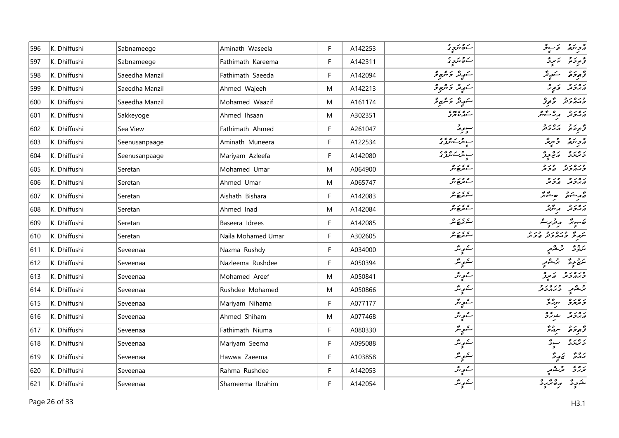| 596 | K. Dhiffushi | Sabnameege     | Aminath Waseela    | F | A142253 | ئەھ ئىز <sub>ىچە</sub> ئ    | ۇ ئەيزىقى ئۇسپۇ                |
|-----|--------------|----------------|--------------------|---|---------|-----------------------------|--------------------------------|
| 597 | K. Dhiffushi | Sabnameege     | Fathimath Kareema  | F | A142311 | سەھ ئىزىر ئ                 | ئەبىرى<br>وٌجوحَعُو            |
| 598 | K. Dhiffushi | Saeedha Manzil | Fathimath Saeeda   | F | A142094 | سكريگر كالكربونجر           | و مرد<br>اقرام در د<br>سەرپەتر |
| 599 | K. Dhiffushi | Saeedha Manzil | Ahmed Wajeeh       | M | A142213 | سَر په تر تر شرح څ          | رەرد كەر                       |
| 600 | K. Dhiffushi | Saeedha Manzil | Mohamed Waazif     | M | A161174 | سەر ئەرتىرىنى ئى            | وره رو په ه                    |
| 601 | K. Dhiffushi | Sakkeyoge      | Ahmed Ihsaan       | M | A302351 | ره ، پر ،<br>سکهر ما دری    | رەرد مەشھ                      |
| 602 | K. Dhiffushi | Sea View       | Fathimath Ahmed    | F | A261047 | سوەر<br>ئەر                 | قرم و ده دور                   |
| 603 | K. Dhiffushi | Seenusanpaage  | Aminath Muneera    | F | A122534 | سەمەر سەھ بۇ ئ              | أزويتم وتبيته                  |
| 604 | K. Dhiffushi | Seenusanpaage  | Mariyam Azleefa    | F | A142080 | سەپىر سەھرىي<br>ئ           | د ه د ه ه ه مي پورتز           |
| 605 | K. Dhiffushi | Seretan        | Mohamed Umar       | M | A064900 | <u>ے پر ص</u>               | כנסני כני                      |
| 606 | K. Dhiffushi | Seretan        | Ahmed Umar         | M | A065747 | <u>۽ ۽ ر</u> چ              | גם ג' כגב<br>הגבע הכיל         |
| 607 | K. Dhiffushi | Seretan        | Aishath Bishara    | F | A142083 | ے پر عر                     | وكرشكو وشكر                    |
| 608 | K. Dhiffushi | Seretan        | Ahmed Inad         | M | A142084 | ے پر <sub>ص</sub>           | رەرو مەر                       |
| 609 | K. Dhiffushi | Seretan        | Baseera Idrees     | F | A142085 | <u>ے ئرچ مر</u>             | ەسبوبتر برىزىيەت<br>مەسب       |
| 610 | K. Dhiffushi | Seretan        | Naila Mohamed Umar | F | A302605 | ے پر چ                      | شرق ورەرو ورو                  |
| 611 | K. Dhiffushi | Seveenaa       | Nazma Rushdy       | F | A034000 | ئە <sub>ھە</sub> بىگە       | يروڅ پر شونږ                   |
| 612 | K. Dhiffushi | Seveenaa       | Nazleema Rushdee   | F | A050394 | ء<br>س <sup>ق</sup> ھ پیشر  |                                |
| 613 | K. Dhiffushi | Seveenaa       | Mohamed Areef      | M | A050841 | ئە <sub>ھە</sub> بىگە       | ورەرو رىرو                     |
| 614 | K. Dhiffushi | Seveenaa       | Rushdee Mohamed    | M | A050866 | ء<br>سنو <sub>ء</sub> ِ مٿر |                                |
| 615 | K. Dhiffushi | Seveenaa       | Mariyam Nihama     | F | A077177 | ئە <sub>ھم</sub> ىتر        | במחב תלב                       |
| 616 | K. Dhiffushi | Seveenaa       | Ahmed Shiham       | M | A077468 | ئە <sub>ھچ</sub> ىئر        | رەر دۇرى<br>مەركىر ئىرگ        |
| 617 | K. Dhiffushi | Seveenaa       | Fathimath Niuma    | F | A080330 | ع موستر<br>سنوپېتر          | سردنو<br>و څو څخه د            |
| 618 | K. Dhiffushi | Seveenaa       | Mariyam Seema      | F | A095088 | ڪ <sub>ھو</sub> مٿر         | ويوبره<br>ستوشح                |
| 619 | K. Dhiffushi | Seveenaa       | Hawwa Zaeema       | F | A103858 | ء<br>سنو <sub>ء</sub> ِ مٿر | ىمەر<br>برەپچ                  |
| 620 | K. Dhiffushi | Seveenaa       | Rahma Rushdee      | F | A142053 | ئە <sub>ھە</sub> بىگە       | ر ه و<br>برگ<br>ترشحور         |
| 621 | K. Dhiffushi | Seveenaa       | Shameema Ibrahim   | F | A142054 | ئە <sub>ھە</sub> بىگە       | شود وه پر د                    |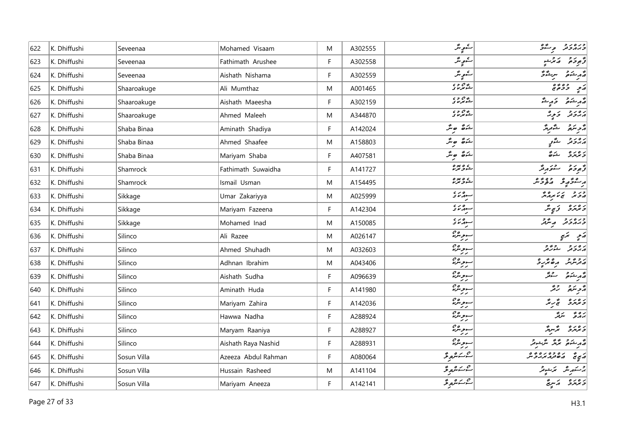| 622 | K. Dhiffushi | Seveenaa    | Mohamed Visaam      | M           | A302555 | ئە <sub>ھە</sub> بىگە                                | ورورو وت                                                                                                                                                                                                                       |
|-----|--------------|-------------|---------------------|-------------|---------|------------------------------------------------------|--------------------------------------------------------------------------------------------------------------------------------------------------------------------------------------------------------------------------------|
| 623 | K. Dhiffushi | Seveenaa    | Fathimath Arushee   | $\mathsf F$ | A302558 | ء<br>سنو <sub>ء</sub> ِ مٿر                          | أوالمح وأنجم وأنادر المحراسية والمحترمة والمحترم والمحترم والمحترم والمحترم والمحترم والمحترم والمحترم والمحترم والمحترم والمحترم والمحترم والمحترم والمحترم والمحترم والمحترم والمحترم والمحترم والمحترم والمحترم والمحترم وا |
| 624 | K. Dhiffushi | Seveenaa    | Aishath Nishama     | F           | A302559 | ء<br>سنو <sub>ء</sub> ِ مٿر                          | أوار الشكاة المسترائية                                                                                                                                                                                                         |
| 625 | K. Dhiffushi | Shaaroakuge | Ali Mumthaz         | M           | A001465 | ره ۶۵ و <sup>ج</sup><br>شومر <i>۷ ی</i>              |                                                                                                                                                                                                                                |
| 626 | K. Dhiffushi | Shaaroakuge | Aishath Maeesha     | F           | A302159 | ره ۵۶<br>شومر <i>۷ ی</i>                             | وكركو وكرك                                                                                                                                                                                                                     |
| 627 | K. Dhiffushi | Shaaroakuge | Ahmed Maleeh        | M           | A344870 | ره ۶۵ و <sup>ج</sup><br>شومر <i>ب</i> و <sub>ک</sub> | برەر ئەر ئە                                                                                                                                                                                                                    |
| 628 | K. Dhiffushi | Shaba Binaa | Aminath Shadiya     | F           | A142024 | خۇڭ ھېر                                              | أثر حريثهم<br>ستگ <sup>و</sup> تر پر                                                                                                                                                                                           |
| 629 | K. Dhiffushi | Shaba Binaa | Ahmed Shaafee       | M           | A158803 | خزة وتر                                              | ر ه ر د<br>م.رو تر<br>ستذمي                                                                                                                                                                                                    |
| 630 | K. Dhiffushi | Shaba Binaa | Mariyam Shaba       | $\mathsf F$ | A407581 | خُوَّةٌ صِبَّر                                       | ر ه بر ه<br>د <del>ب</del> ربرگ<br>شذة                                                                                                                                                                                         |
| 631 | K. Dhiffushi | Shamrock    | Fathimath Suwaidha  | F           | A141727 | ره و بره<br>شور برر                                  | توجوجو سنورش                                                                                                                                                                                                                   |
| 632 | K. Dhiffushi | Shamrock    | Ismail Usman        | M           | A154495 | ے ہ برہ<br>شور ہریا                                  | ر عۇرپۇ ھۆرتىر                                                                                                                                                                                                                 |
| 633 | K. Dhiffushi | Sikkage     | Umar Zakariyya      | M           | A025999 | ه در ۲<br>سرهر ۲۶                                    | בכת ביצוע                                                                                                                                                                                                                      |
| 634 | K. Dhiffushi | Sikkage     | Mariyam Fazeena     | F           | A142304 | سود بر ،                                             | د وړو توپه تر                                                                                                                                                                                                                  |
| 635 | K. Dhiffushi | Sikkage     | Mohamed Inad        | M           | A150085 | ەر بەر<br>سىرلىرىنى                                  | ورەرو ھەتر                                                                                                                                                                                                                     |
| 636 | K. Dhiffushi | Silinco     | Ali Razee           | M           | A026147 | سومریز<br>سرم                                        | ړنو برې                                                                                                                                                                                                                        |
| 637 | K. Dhiffushi | Silinco     | Ahmed Shuhadh       | M           | A032603 | سوپره<br>رخ                                          | رەر دەرد.<br>مەرومى خەر <i>گى</i>                                                                                                                                                                                              |
| 638 | K. Dhiffushi | Silinco     | Adhnan Ibrahim      | M           | A043406 | اسوچینژنگا<br>پ                                      | גבשת הסתקב                                                                                                                                                                                                                     |
| 639 | K. Dhiffushi | Silinco     | Aishath Sudha       | F           | A096639 | اسوچین<br>اسوچین                                     | ە ئەرىشىرە ھەتىر                                                                                                                                                                                                               |
| 640 | K. Dhiffushi | Silinco     | Aminath Huda        | $\mathsf F$ | A141980 | اسوچینا<br>استعمال                                   | رژگر<br>أرمر تركيح                                                                                                                                                                                                             |
| 641 | K. Dhiffushi | Silinco     | Mariyam Zahira      | F           | A142036 | اسوچینا<br>اسوچینا                                   | ر ه ر ه<br><del>د</del> بربرو<br>ىتى سەتتىر                                                                                                                                                                                    |
| 642 | K. Dhiffushi | Silinco     | Hawwa Nadha         | $\mathsf F$ | A288924 | اسوچینا<br>اسوچینا                                   | رەپ بەر                                                                                                                                                                                                                        |
| 643 | K. Dhiffushi | Silinco     | Maryam Raaniya      | $\mathsf F$ | A288927 | سوپرترنا<br>سرپر                                     | במתכני המית                                                                                                                                                                                                                    |
| 644 | K. Dhiffushi | Silinco     | Aishath Raya Nashid | F           | A288931 | سوپرتا<br>سر                                         | و<br>وگرېشونو غرم سربيون                                                                                                                                                                                                       |
| 645 | K. Dhiffushi | Sosun Villa | Azeeza Abdul Rahman | F           | A080064 | ج ئەنگە بۇ                                           | ر ده ده ده ده ده و                                                                                                                                                                                                             |
| 646 | K. Dhiffushi | Sosun Villa | Hussain Rasheed     | M           | A141104 | استمستقرقم                                           | ج سکهر مگر مگر مگر شوندگر<br>مسلم                                                                                                                                                                                              |
| 647 | K. Dhiffushi | Sosun Villa | Mariyam Aneeza      | F           | A142141 | <u>شر ئەشرو ئۇ</u>                                   |                                                                                                                                                                                                                                |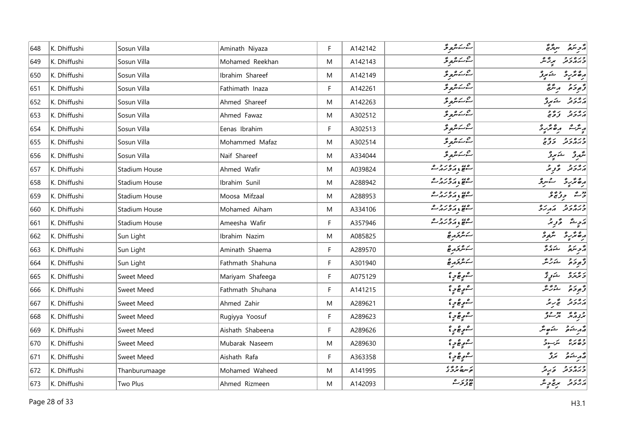| 648 | K. Dhiffushi | Sosun Villa          | Aminath Niyaza   | F. | A142142 | ج ئەنگەرى <i>گە</i>          | سرتريخ<br>أرمز تمر                           |
|-----|--------------|----------------------|------------------|----|---------|------------------------------|----------------------------------------------|
| 649 | K. Dhiffushi | Sosun Villa          | Mohamed Reekhan  | M  | A142143 | ج ئەنگەرى <i>گە</i>          | و ره ر د<br><i>د ب</i> رگرفر<br>ىرىپىش       |
| 650 | K. Dhiffushi | Sosun Villa          | Ibrahim Shareef  | M  | A142149 | جمنهفرقه                     | ە ھېڭرىرى<br>بر ھېڭرىرى<br>شەمرۇ             |
| 651 | K. Dhiffushi | Sosun Villa          | Fathimath Inaza  | F. | A142261 | <u>ح سەمبرو ئە</u>           | و څو څخه د<br>ەرىتىتى                        |
| 652 | K. Dhiffushi | Sosun Villa          | Ahmed Shareef    | M  | A142263 | ج ئەنگەرى <i>گە</i>          | پروژو<br>ے مورثی                             |
| 653 | K. Dhiffushi | Sosun Villa          | Ahmed Fawaz      | M  | A302512 | 2 سەمبىرى <i>م</i> ۇ         | ر ه ر د<br>م.ر څ تر<br>ىر بەر<br>توكەسى      |
| 654 | K. Dhiffushi | Sosun Villa          | Eenas Ibrahim    | F  | A302513 | <u>شەسە ئىرو ئ</u>           | رېترت                                        |
| 655 | K. Dhiffushi | Sosun Villa          | Mohammed Mafaz   | M  | A302514 | <u>ش ئەشرو ئۇ</u>            | כנסנב נבב<br><i>כג</i> ובט בצ <u>ב</u>       |
| 656 | K. Dhiffushi | Sosun Villa          | Naif Shareef     | M  | A334044 | <u>ح سەمبرى ئ</u> ە          | ىتى <sub>م</sub> ۇ<br>شەمرۇ                  |
| 657 | K. Dhiffushi | <b>Stadium House</b> | Ahmed Wafir      | M  | A039824 |                              | پروژو<br>ۇ بويتر                             |
| 658 | K. Dhiffushi | Stadium House        | Ibrahim Sunil    | M  | A288942 |                              | ەرھەترىر <sup>ى</sup><br>سەسرىۋ              |
| 659 | K. Dhiffushi | Stadium House        | Moosa Mifzaal    | M  | A288953 | ە» رەردە<br>سوغ مەرىمى       | در در در در در در در در ایران<br>در سال      |
| 660 | K. Dhiffushi | Stadium House        | Mohamed Aiham    | M  | A334106 |                              | בגםגב גבש                                    |
| 661 | K. Dhiffushi | Stadium House        | Ameesha Wafir    | F  | A357946 |                              | ړَ پِهِ وُرِ پُر                             |
| 662 | K. Dhiffushi | Sun Light            | Ibrahim Nazim    | M  | A085825 | سە ئىركىرى ھ                 | ەر ھەترىر <i>د</i><br>سگىجە ۋ                |
| 663 | K. Dhiffushi | Sun Light            | Aminath Shaema   | F  | A289570 | سە ئەرىخەر ھ                 | וב<br>הקיישות<br>شتەدىر                      |
| 664 | K. Dhiffushi | Sun Light            | Fathmath Shahuna | F. | A301940 | ستعترم                       | ىشە <i>ر تى</i> گە<br>ۇ ب <sub>و</sub> ر د   |
| 665 | K. Dhiffushi | <b>Sweet Meed</b>    | Mariyam Shafeega | F  | A075129 | وأوقحونا                     | ر ه بر ه<br>تر <del>ب</del> ر بر ژ<br>ستنوتج |
| 666 | K. Dhiffushi | <b>Sweet Meed</b>    | Fathmath Shuhana | F  | A141215 |                              | ىشۇرىگە<br>وٌموِ وَمُح                       |
| 667 | K. Dhiffushi | <b>Sweet Meed</b>    | Ahmed Zahir      | M  | A289621 | م <sub>و قو</sub> ج و        | پروژو<br>پچ ريز<br>پخ                        |
| 668 | K. Dhiffushi | <b>Sweet Meed</b>    | Rugiyya Yoosuf   | F  | A289623 | م <sub>و قو</sub> ح و ؟<br>م | ە دە دە<br>تر <sub>تحە</sub> ر مەر           |
| 669 | K. Dhiffushi | <b>Sweet Meed</b>    | Aishath Shabeena | F  | A289626 |                              | ۇرخۇ خۇم ئ                                   |
| 670 | K. Dhiffushi | Sweet Meed           | Mubarak Naseem   | M  | A289630 |                              | و پر پر ہ<br>حرکھ سر ر<br>ىئەسىدى            |
| 671 | K. Dhiffushi | <b>Sweet Meed</b>    | Aishath Rafa     | F. | A363358 | م <sub>و قو</sub> ح و و      | و گرم شو ده<br>م<br>ىرتى                     |
| 672 | K. Dhiffushi | Thanburumaage        | Mohamed Waheed   | M  | A141995 | ر<br>می سرچ تر د و           | و ره ر و<br>تر پر ژنر<br>ئە بەيىتىر<br>ئ     |
| 673 | K. Dhiffushi | Two Plus             | Ahmed Rizmeen    | M  | A142093 | دد د بر ه<br>چ بوځو ک        | ړه رو پر چې شر                               |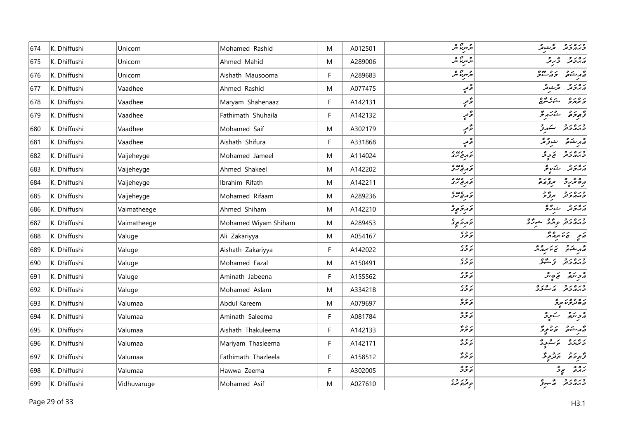| 674 | K. Dhiffushi | Unicorn     | Mohamed Rashid       | M  | A012501 | أوسره عر                   | ورەر و گرشونر                                              |
|-----|--------------|-------------|----------------------|----|---------|----------------------------|------------------------------------------------------------|
| 675 | K. Dhiffushi | Unicorn     | Ahmed Mahid          | M  | A289006 | وتسرعي                     | دەر د ئەرىر                                                |
| 676 | K. Dhiffushi | Unicorn     | Aishath Mausooma     | F  | A289683 | وتسرعي                     | أحدث والمحمد المستور                                       |
| 677 | K. Dhiffushi | Vaadhee     | Ahmed Rashid         | M  | A077475 | و<br>ح <sub>کمي</sub>      | رەرد پەئىدۇ                                                |
| 678 | K. Dhiffushi | Vaadhee     | Maryam Shahenaaz     | F  | A142131 | ر<br>حومرٍ                 | رىرى بەرە<br>شەركىتىرى<br>ر ه بر ه<br><del>د</del> بر بر د |
| 679 | K. Dhiffushi | Vaadhee     | Fathimath Shuhaila   | F  | A142132 | ر<br>ح <sup>5</sup> تو     | أزوده خندرقه                                               |
| 680 | K. Dhiffushi | Vaadhee     | Mohamed Saif         | Μ  | A302179 | ر<br>ح <sup>5</sup> تو     | ورەر دېرو                                                  |
| 681 | K. Dhiffushi | Vaadhee     | Aishath Shifura      | F  | A331868 | ء<br>ح                     | أوار مشكاة المستوفي                                        |
| 682 | K. Dhiffushi | Vaijeheyge  | Mohamed Jameel       | M  | A114024 | ر<br>تو در ج ر د           | ورەرد رو                                                   |
| 683 | K. Dhiffushi | Vaijeheyge  | Ahmed Shakeel        | M  | A142202 | ر<br>عهره ری               | أربروتر المشرعو                                            |
| 684 | K. Dhiffushi | Vaijeheyge  | Ibrahim Rifath       | M  | A142211 | ر<br>تو در ج ر د           | ەر ھەتمەر 2<br>ر<br>بر و در د<br>بر تو هر مو               |
| 685 | K. Dhiffushi | Vaijeheyge  | Mohamed Rifaam       | M  | A289236 | ر<br>تو در ج ر د           | ورەر دەر                                                   |
| 686 | K. Dhiffushi | Vaimatheege | Ahmed Shiham         | M  | A142210 | ر<br>قەر خ <sub>ەم</sub> ج | رەرد خەرمى                                                 |
| 687 | K. Dhiffushi | Vaimatheege | Mohamed Wiyam Shiham | Μ  | A289453 | ۇ مەخ م <sub>ۇ</sub> ئ     |                                                            |
| 688 | K. Dhiffushi | Valuge      | Ali Zakariyya        | Μ  | A054167 | ر و ،<br>د تر              | أوالمج المتحمد والمراجمة                                   |
| 689 | K. Dhiffushi | Valuge      | Aishath Zakariyya    | F  | A142022 | ر و ،<br>حرن               | ومرشك تمامه                                                |
| 690 | K. Dhiffushi | Valuge      | Mohamed Fazal        | M  | A150491 | ر و ،<br>د تر              | ورەرو كەشكى                                                |
| 691 | K. Dhiffushi | Valuge      | Aminath Jabeena      | F. | A155562 | ر و ،<br>حرمز              | أزويتهم فأجتر                                              |
| 692 | K. Dhiffushi | Valuge      | Mohamed Aslam        | M  | A334218 | ر و ،<br>و و د             | כנסני הפנס                                                 |
| 693 | K. Dhiffushi | Valumaa     | Abdul Kareem         | M  | A079697 | ءَ وُرٌ                    | ر ه د ه ر<br>م ه تر ژ ر پر ژ                               |
| 694 | K. Dhiffushi | Valumaa     | Aminath Saleema      | F. | A081784 | ء وء                       | أأدبتهم المنوفر                                            |
| 695 | K. Dhiffushi | Valumaa     | Aishath Thakuleema   | F  | A142133 | ءَ وُرٌ                    | وكرشكو المردوقة                                            |
| 696 | K. Dhiffushi | Valumaa     | Mariyam Thasleema    | F  | A142171 | ء وء                       | رەرە بەھرۇ                                                 |
| 697 | K. Dhiffushi | Valumaa     | Fathimath Thazleela  | F  | A158512 | ء وء                       | توجوجو بموجوج                                              |
| 698 | K. Dhiffushi | Valumaa     | Hawwa Zeema          | F. | A302005 | ء وء                       | $rac{1}{2}$<br>سمج پخ                                      |
| 699 | K. Dhiffushi | Vidhuvaruge | Mohamed Asif         | M  | A027610 | <br>  مومرہ بر دی          | ورەرو ھەبدۇ                                                |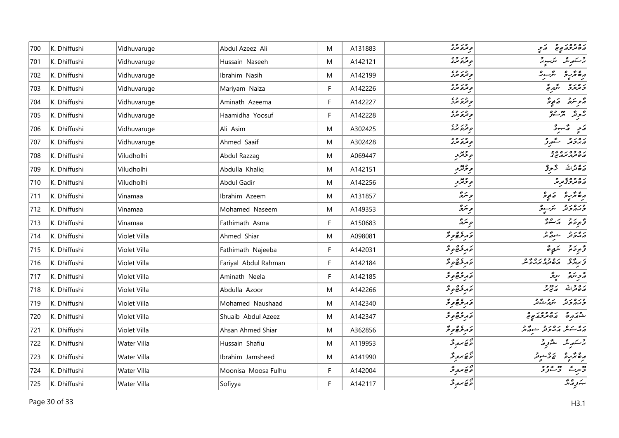| 700 | K. Dhiffushi | Vidhuvaruge  | Abdul Azeez Ali      | M           | A131883 | و د و ،<br>وترو برد                        |                                                                        |
|-----|--------------|--------------|----------------------|-------------|---------|--------------------------------------------|------------------------------------------------------------------------|
| 701 | K. Dhiffushi | Vidhuvaruge  | Hussain Naseeh       | M           | A142121 | و د و ء<br>و ترو بر د                      | يزخيرها الترجية                                                        |
| 702 | K. Dhiffushi | Vidhuvaruge  | Ibrahim Nasih        | M           | A142199 | و تر و ،<br>مرتد تر د                      | ە ھەترىرى<br>رەھىرىرى<br>ىئرىبىدىر                                     |
| 703 | K. Dhiffushi | Vidhuvaruge  | Mariyam Naiza        | F           | A142226 | <br>  مومرہ بر دی                          | ر ه ر ه<br>د بربرگ<br>سَّدِيحَ                                         |
| 704 | K. Dhiffushi | Vidhuvaruge  | Aminath Azeema       | $\mathsf F$ | A142227 | <br>  حوفرچ مر <sub>ک</sub>                | أروسكو<br>ړ نو پر                                                      |
| 705 | K. Dhiffushi | Vidhuvaruge  | Haamidha Yoosuf      | F           | A142228 | و ر و ء<br>ح <sub>ا</sub> فر <i>و بو</i> د | دد ده<br>در سور<br>  پڑ جو قر                                          |
| 706 | K. Dhiffushi | Vidhuvaruge  | Ali Asim             | M           | A302425 | و ر و ،<br>و تر <i>و بر</i> ی              | أوسمج ومحسبوقه                                                         |
| 707 | K. Dhiffushi | Vidhuvaruge  | Ahmed Saaif          | M           | A302428 | و د و ء<br>و ترو برد                       | برەرو ھەر                                                              |
| 708 | K. Dhiffushi | Viludholhi   | Abdul Razzag         | M           | A069447 | وقحقرىر                                    | ر ٥ ۶ ٥ ٥ ٥ ٥ ٠<br>مان محمد محمد من تح                                 |
| 709 | K. Dhiffushi | Viludholhi   | Abdulla Khaliq       | M           | A142151 | وتخترمر                                    | يَدْهِ قَدْ اللّهُ يَسْتَرْتَوْ                                        |
| 710 | K. Dhiffushi | Viludholhi   | <b>Abdul Gadir</b>   | M           | A142256 | وتحقرىر                                    | رە دەپر دېگە ئېرىتى<br>مەھىر ئوتۇ تېرىتى                               |
| 711 | K. Dhiffushi | Vinamaa      | Ibrahim Azeem        | M           | A131857 | عريترقحه                                   | وه پر د کمنځو                                                          |
| 712 | K. Dhiffushi | Vinamaa      | Mohamed Naseem       | M           | A149353 | عريتر                                      | ورەرو شەر                                                              |
| 713 | K. Dhiffushi | Vinamaa      | Fathimath Asma       | $\mathsf F$ | A150683 | عريتر                                      | توجدة المراءة                                                          |
| 714 | K. Dhiffushi | Violet Villa | Ahmed Shiar          | M           | A098081 | ءَ ٻر ڦوهو ڦُ                              | دەرو جەمج                                                              |
| 715 | K. Dhiffushi | Violet Villa | Fathimath Najeeba    | F           | A142031 | ر<br>عەر مۇھ <sub>ىم</sub> ۇ               | تزود مناقصة المتحفظة والمحمدة والمستنبة                                |
| 716 | K. Dhiffushi | Violet Villa | Fariyal Abdul Rahman | $\mathsf F$ | A142184 | لحدد وهوقه                                 | ره وه ره د ه<br>پره تر پر پر تر س<br>ر برېژو<br>د برېژنو               |
| 717 | K. Dhiffushi | Violet Villa | Aminath Neela        | F           | A142185 | ءَ مرځو هو ځه                              | أزوبترة<br>سرپڅر                                                       |
| 718 | K. Dhiffushi | Violet Villa | Abdulla Azoor        | M           | A142266 | ءَ ٻر ڏھ ۾ ڏُ                              | برە ترالله<br>ر دو و<br>در سی مر                                       |
| 719 | K. Dhiffushi | Violet Villa | Mohamed Naushaad     | M           | A142340 | لوَرِدِءُودَّ                              | ورەرو شەھقىر                                                           |
| 720 | K. Dhiffushi | Violet Villa | Shuaib Abdul Azeez   | M           | A142347 | ءَ مرځو هو ځه                              | CARCO COLORES                                                          |
| 721 | K. Dhiffushi | Violet Villa | Ahsan Ahmed Shiar    | M           | A362856 | ءَ ٻرءُ ڇوءَ                               | ره ره کرده در در در در در در در استان کرد.<br>ارز سوس ازبر دیگر شورگرس |
| 722 | K. Dhiffushi | Water Villa  | Hussain Shafiu       | M           | A119953 | ەر<br>جۇ ئىرمو ق                           | ير سەر شەر ئىشتىر ئە                                                   |
| 723 | K. Dhiffushi | Water Villa  | Ibrahim Jamsheed     | M           | A141990 | ء کيے سرعر محّر                            | رە ئرىر ئىمى ئىر                                                       |
| 724 | K. Dhiffushi | Water Villa  | Moonisa Moosa Fulhu  | $\mathsf F$ | A142004 | ء کيے سرعر محّر                            | وتبريثه<br>در مصر د د                                                  |
| 725 | K. Dhiffushi | Water Villa  | Sofiyya              | F           | A142117 | <br> عريج مر <sub>حر</sub> محر             | ىبۇ بەر                                                                |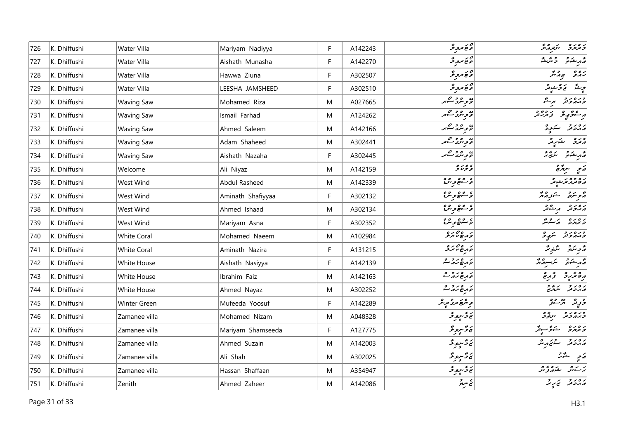| 726 | K. Dhiffushi | Water Villa        | Mariyam Nadiyya   | F           | A142243 | ء کھ سرعر محر                          | ويرجو شعره و                                                                                            |
|-----|--------------|--------------------|-------------------|-------------|---------|----------------------------------------|---------------------------------------------------------------------------------------------------------|
| 727 | K. Dhiffushi | Water Villa        | Aishath Munasha   | F           | A142270 | ج <sub>ت</sub> ح مر <sub>حر</sub> مَّر | تر مگريگ <b></b><br>و مر شو د<br>مر                                                                     |
| 728 | K. Dhiffushi | Water Villa        | Hawwa Ziuna       | F           | A302507 | ء کيے سرحريحه                          | برە ئەستىمى ئىستىكى ئىستىكى ئىستىكى ئىستىكى ئىستىكى ئىستىكى ئىستىكى ئىستىكى ئىستىكى ئىستىكى ئىستى ئىستى |
| 729 | K. Dhiffushi | Water Villa        | LEESHA JAMSHEED   | F           | A302510 | ەر<br>جۇ ئىر <i>ە</i> ئىر              | لمحيث وكالمحافظة والمحر                                                                                 |
| 730 | K. Dhiffushi | <b>Waving Saw</b>  | Mohamed Riza      | M           | A027665 | ا مۇھەمىيە مىسىمىر<br>مەسىمە           | وره رو برگ                                                                                              |
| 731 | K. Dhiffushi | <b>Waving Saw</b>  | Ismail Farhad     | M           | A124262 | موسیق مشهر<br>  موسیق مسلم             | وحويد وتردد                                                                                             |
| 732 | K. Dhiffushi | <b>Waving Saw</b>  | Ahmed Saleem      | M           | A142166 | ە ئەر بىرى سىمىر<br>م                  | رەرو سكوپى                                                                                              |
| 733 | K. Dhiffushi | <b>Waving Saw</b>  | Adam Shaheed      | M           | A302441 | قومرچ مش <sub>عر</sub>                 | پر ده<br>د ترو شور تر                                                                                   |
| 734 | K. Dhiffushi | <b>Waving Saw</b>  | Aishath Nazaha    | $\mathsf F$ | A302445 | قوم مرد حمير<br>  قوم مرد حكم          | پ <sup>و</sup> پر شوی <sub>ر</sub><br>سريح پژ                                                           |
| 735 | K. Dhiffushi | Welcome            | Ali Niyaz         | M           | A142159 | ه وره<br>ونژیو                         | أوسمج سروسمج                                                                                            |
| 736 | K. Dhiffushi | West Wind          | Abdul Rasheed     | M           | A142339 | ۇسقۇمۇمىي                              | ر 2 2 2 ر<br>در ه تردر بر شوتر                                                                          |
| 737 | K. Dhiffushi | West Wind          | Aminath Shafiyyaa | F           | A302132 | وسقومرهما                              | شەَ و پر تر<br>ړګو سره                                                                                  |
| 738 | K. Dhiffushi | West Wind          | Ahmed Ishaad      | M           | A302134 | وسقوم مو                               | برەر د پەر                                                                                              |
| 739 | K. Dhiffushi | West Wind          | Mariyam Asna      | $\mathsf F$ | A302352 | وكشقورهما                              | رەرە بەرش                                                                                               |
| 740 | K. Dhiffushi | <b>White Coral</b> | Mohamed Naeem     | M           | A102984 | $rac{1}{2}$                            | ورەر دېرە                                                                                               |
| 741 | K. Dhiffushi | <b>White Coral</b> | Aminath Nazira    | F           | A131215 | ر وہ رو<br>ورح مائر                    | ومحر يتكفح للتفريحه                                                                                     |
| 742 | K. Dhiffushi | <b>White House</b> | Aishath Nasiyya   | F           | A142139 | ەر ۋىر ئە                              | وكرمشكا سكر المحار                                                                                      |
| 743 | K. Dhiffushi | White House        | Ibrahim Faiz      | M           | A142163 | ورورده                                 | دە ئۆرۈ<br>تر مرجح                                                                                      |
| 744 | K. Dhiffushi | White House        | Ahmed Nayaz       | M           | A302252 | ى مەھ ئەم <sup>رى</sup>                | پروژو<br>ىر بەر د<br>سرەر بى                                                                            |
| 745 | K. Dhiffushi | Winter Green       | Mufeeda Yoosuf    | F           | A142289 | م <sub>و</sub> مثريغ برندگر            | د پورته پر چې                                                                                           |
| 746 | K. Dhiffushi | Zamanee villa      | Mohamed Nizam     | M           | A048328 | ئە ئەسرە ئ <sup>ۇ</sup>                | وره د د سرگاه<br>در در سرگاه                                                                            |
| 747 | K. Dhiffushi | Zamanee villa      | Mariyam Shamseeda | $\mathsf F$ | A127775 | ئەۋسرە <sub>ر</sub> ۇ                  | رەرە شەۋىسىدگە                                                                                          |
| 748 | K. Dhiffushi | Zamanee villa      | Ahmed Suzain      | M           | A142003 | ىر ئەسرە ب <sup>ى</sup> ر<br>ئ         | أرەرو دىر ھ                                                                                             |
| 749 | K. Dhiffushi | Zamanee villa      | Ali Shah          | M           | A302025 | ر ئۇ بىرە <sub>ر</sub> ئۇ<br>سىر       | پر په په شک                                                                                             |
| 750 | K. Dhiffushi | Zamanee villa      | Hassan Shaffaan   | M           | A354947 | ئەۋسرە <sub>ر</sub> ۇ                  | ىز ئەھرىر ھەر ئىش                                                                                       |
| 751 | K. Dhiffushi | Zenith             | Ahmed Zaheer      | M           | A142086 | ې سرچ<br>م                             | أرور و سي پر                                                                                            |